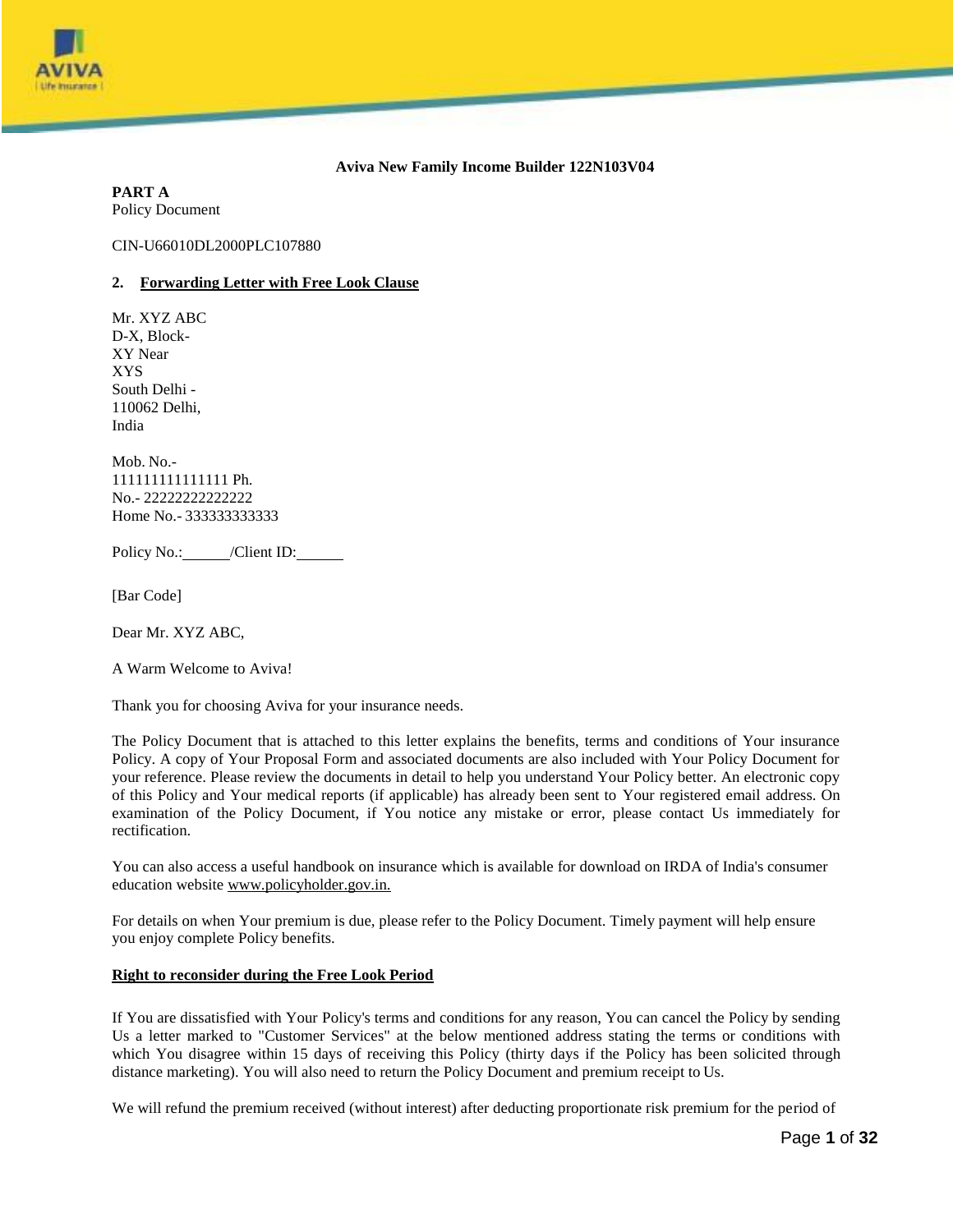

# **Aviva New Family Income Builder 122N103V04**

**PART A** Policy Document

CIN-U66010DL2000PLC107880

#### **2. Forwarding Letter with Free Look Clause**

Mr. XYZ ABC D-X, Block-XY Near XYS South Delhi - 110062 Delhi, India

Mob. No.- 111111111111111 Ph. No.- 22222222222222 Home No.- 333333333333

Policy No.: /Client ID:

[Bar Code]

Dear Mr. XYZ ABC,

A Warm Welcome to Aviva!

Thank you for choosing Aviva for your insurance needs.

The Policy Document that is attached to this letter explains the benefits, terms and conditions of Your insurance Policy. A copy of Your Proposal Form and associated documents are also included with Your Policy Document for your reference. Please review the documents in detail to help you understand Your Policy better. An electronic copy of this Policy and Your medical reports (if applicable) has already been sent to Your registered email address. On examination of the Policy Document, if You notice any mistake or error, please contact Us immediately for rectification.

You can also access a useful handbook on insurance which is available for download on IRDA of India's consumer education website [www.policyholder.gov.in.](http://www.policyholder.gov.in/)

For details on when Your premium is due, please refer to the Policy Document. Timely payment will help ensure you enjoy complete Policy benefits.

## **Right to reconsider during the Free Look Period**

If You are dissatisfied with Your Policy's terms and conditions for any reason, You can cancel the Policy by sending Us a letter marked to "Customer Services" at the below mentioned address stating the terms or conditions with which You disagree within 15 days of receiving this Policy (thirty days if the Policy has been solicited through distance marketing). You will also need to return the Policy Document and premium receipt to Us.

We will refund the premium received (without interest) after deducting proportionate risk premium for the period of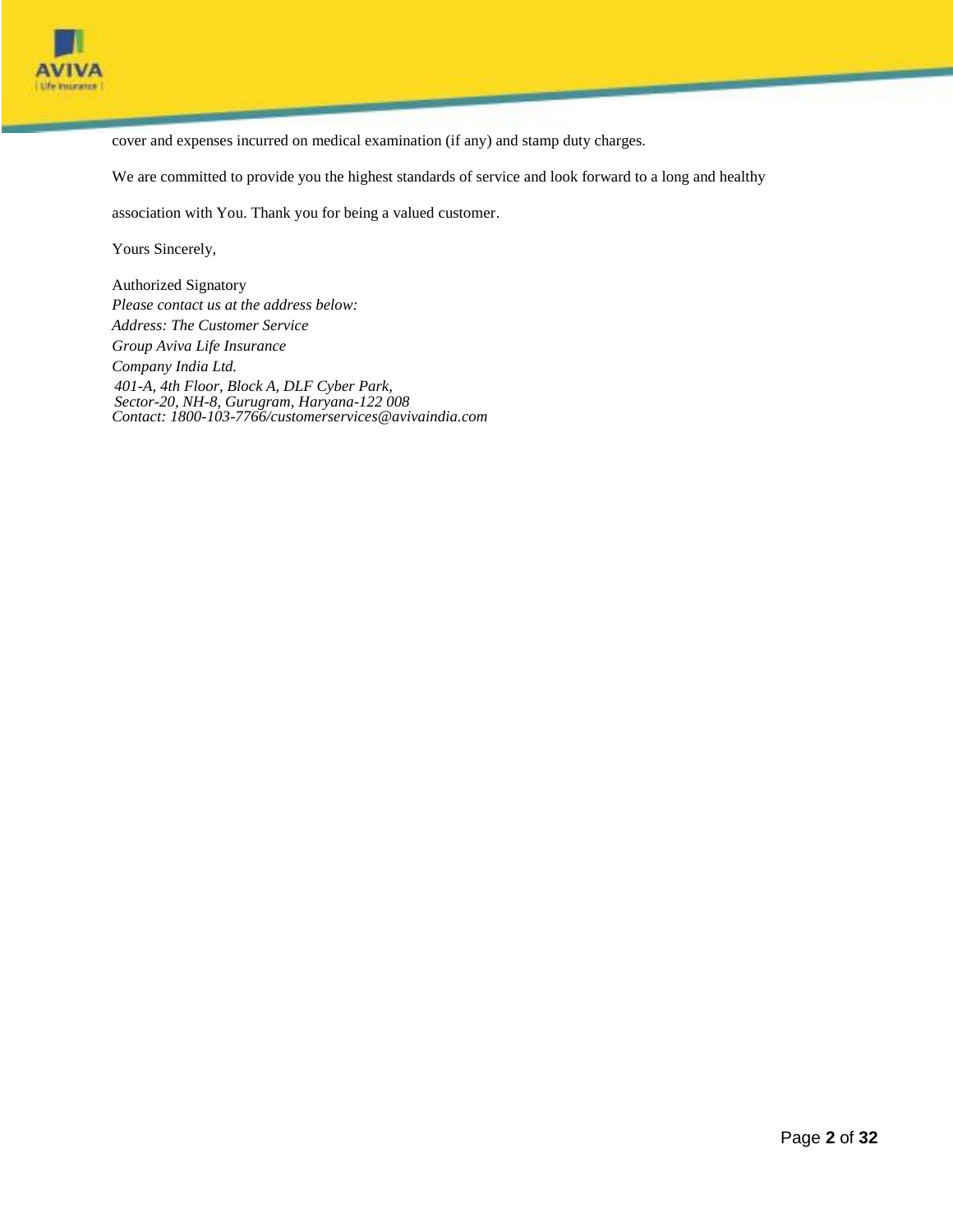

cover and expenses incurred on medical examination (if any) and stamp duty charges.

We are committed to provide you the highest standards of service and look forward to a long and healthy

association with You. Thank you for being a valued customer.

Yours Sincerely,

Authorized Signatory *Please contact us at the address below: Address: The Customer Service Group Aviva Life Insurance Company India Ltd. 401-A, 4th Floor, Block A, DLF Cyber Park, Sector-20, NH-8, Gurugram, Haryana-122 008 Contact: 1800-103-7766[/customerservices@avivaindia.com](mailto:customerservices@avivaindia.com)*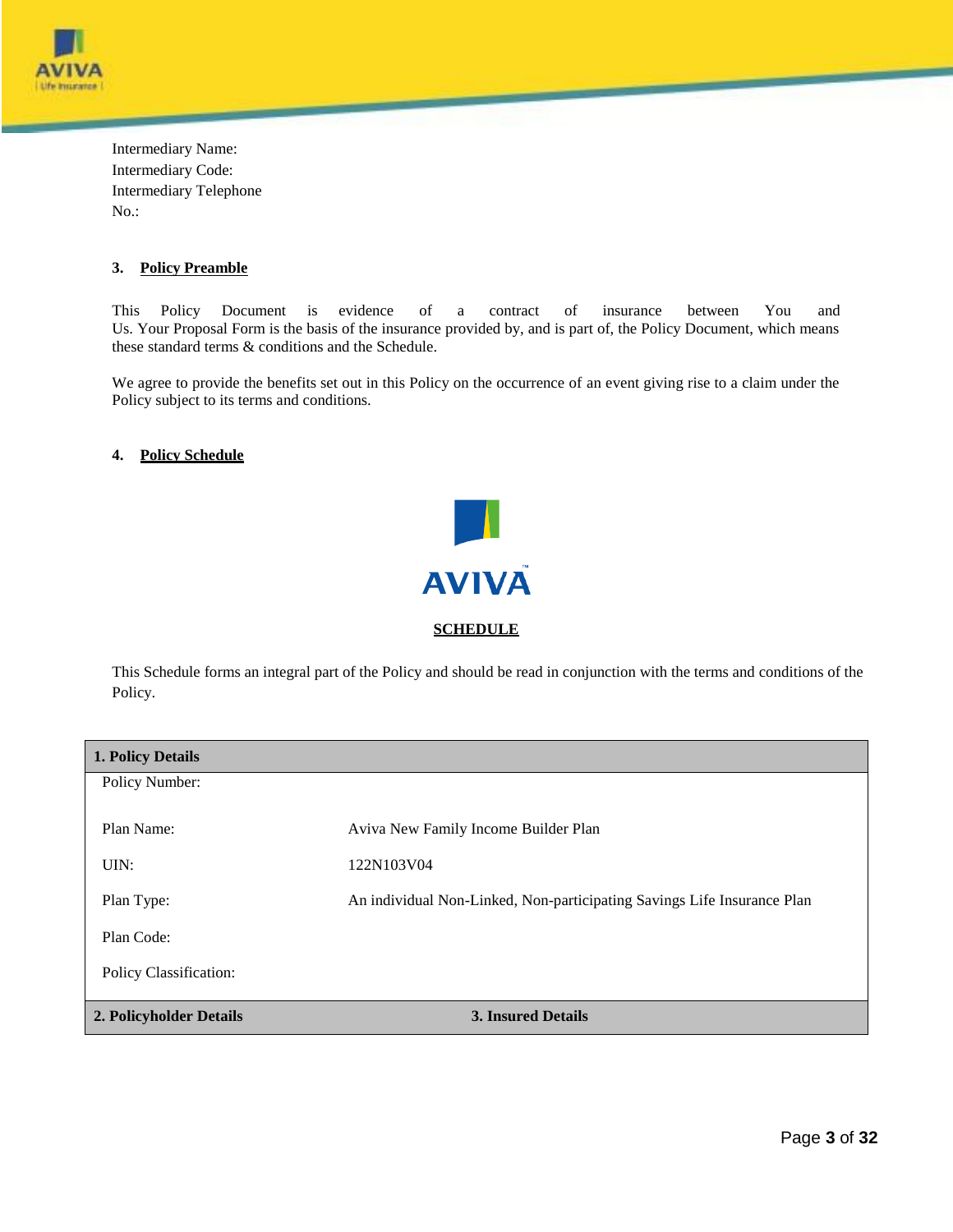

Intermediary Name: Intermediary Code: Intermediary Telephone No.:

# **3. Policy Preamble**

This Policy Document is evidence of a contract of insurance between You and Us. Your Proposal Form is the basis of the insurance provided by, and is part of, the Policy Document, which means these standard terms & conditions and the Schedule.

We agree to provide the benefits set out in this Policy on the occurrence of an event giving rise to a claim under the Policy subject to its terms and conditions.

# **4. Policy Schedule**



This Schedule forms an integral part of the Policy and should be read in conjunction with the terms and conditions of the Policy.

| <b>1. Policy Details</b> |                                                                         |
|--------------------------|-------------------------------------------------------------------------|
| Policy Number:           |                                                                         |
| Plan Name:               | Aviva New Family Income Builder Plan                                    |
| UIN:                     | 122N103V04                                                              |
| Plan Type:               | An individual Non-Linked, Non-participating Savings Life Insurance Plan |
| Plan Code:               |                                                                         |
| Policy Classification:   |                                                                         |
| 2. Policyholder Details  | <b>3. Insured Details</b>                                               |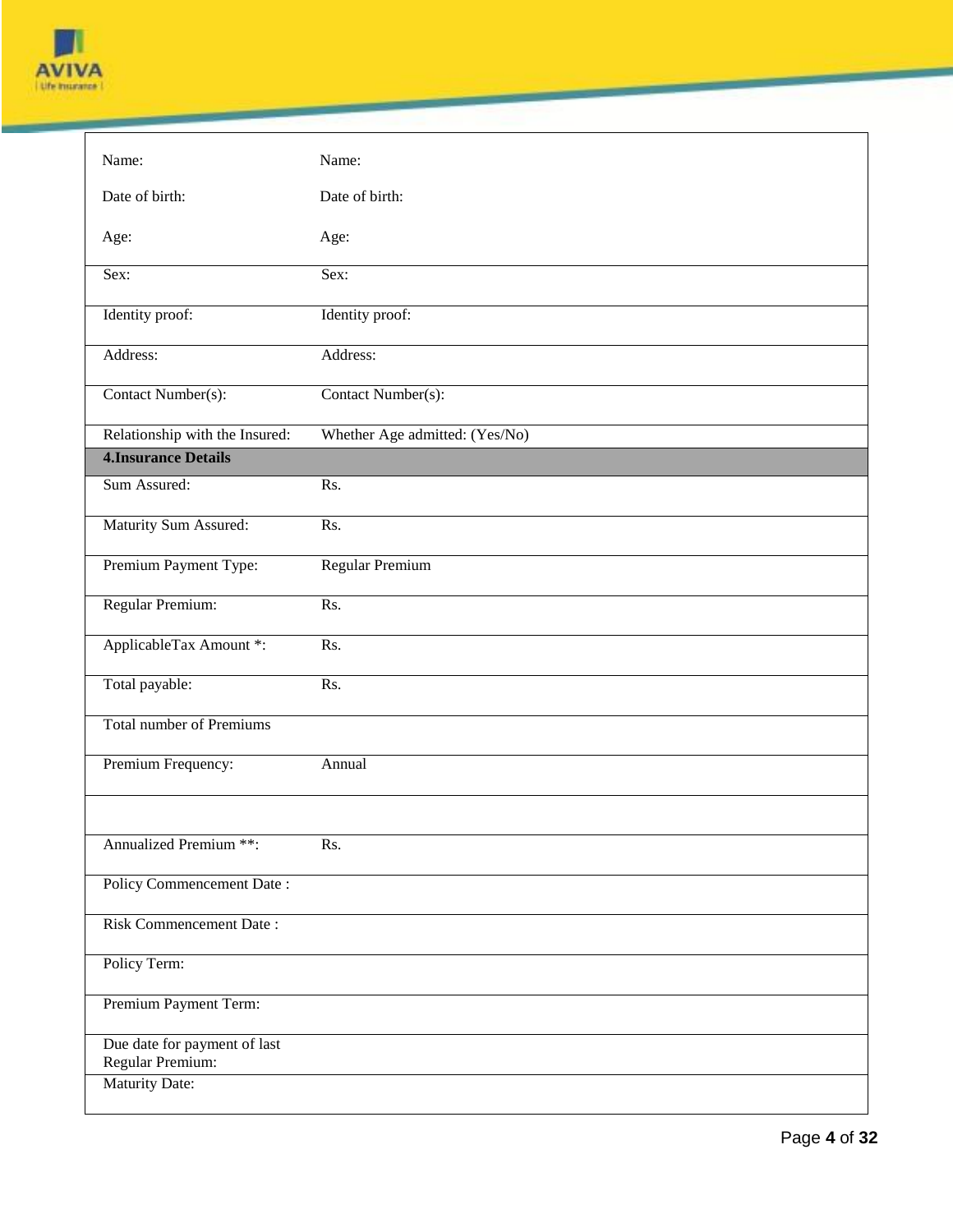

| Name:                                            | Name:                          |
|--------------------------------------------------|--------------------------------|
| Date of birth:                                   | Date of birth:                 |
| Age:                                             | Age:                           |
| Sex:                                             | Sex:                           |
| Identity proof:                                  | Identity proof:                |
| Address:                                         | Address:                       |
| Contact Number(s):                               | Contact Number(s):             |
| Relationship with the Insured:                   | Whether Age admitted: (Yes/No) |
| <b>4. Insurance Details</b>                      |                                |
| Sum Assured:                                     | Rs.                            |
| Maturity Sum Assured:                            | Rs.                            |
| Premium Payment Type:                            | Regular Premium                |
| Regular Premium:                                 | Rs.                            |
| ApplicableTax Amount *:                          | Rs.                            |
| Total payable:                                   | Rs.                            |
| <b>Total number of Premiums</b>                  |                                |
| Premium Frequency:                               | Annual                         |
|                                                  |                                |
| <b>Annualized Premium **:</b>                    | Rs.                            |
| Policy Commencement Date:                        |                                |
| Risk Commencement Date:                          |                                |
| Policy Term:                                     |                                |
| Premium Payment Term:                            |                                |
| Due date for payment of last<br>Regular Premium: |                                |
| Maturity Date:                                   |                                |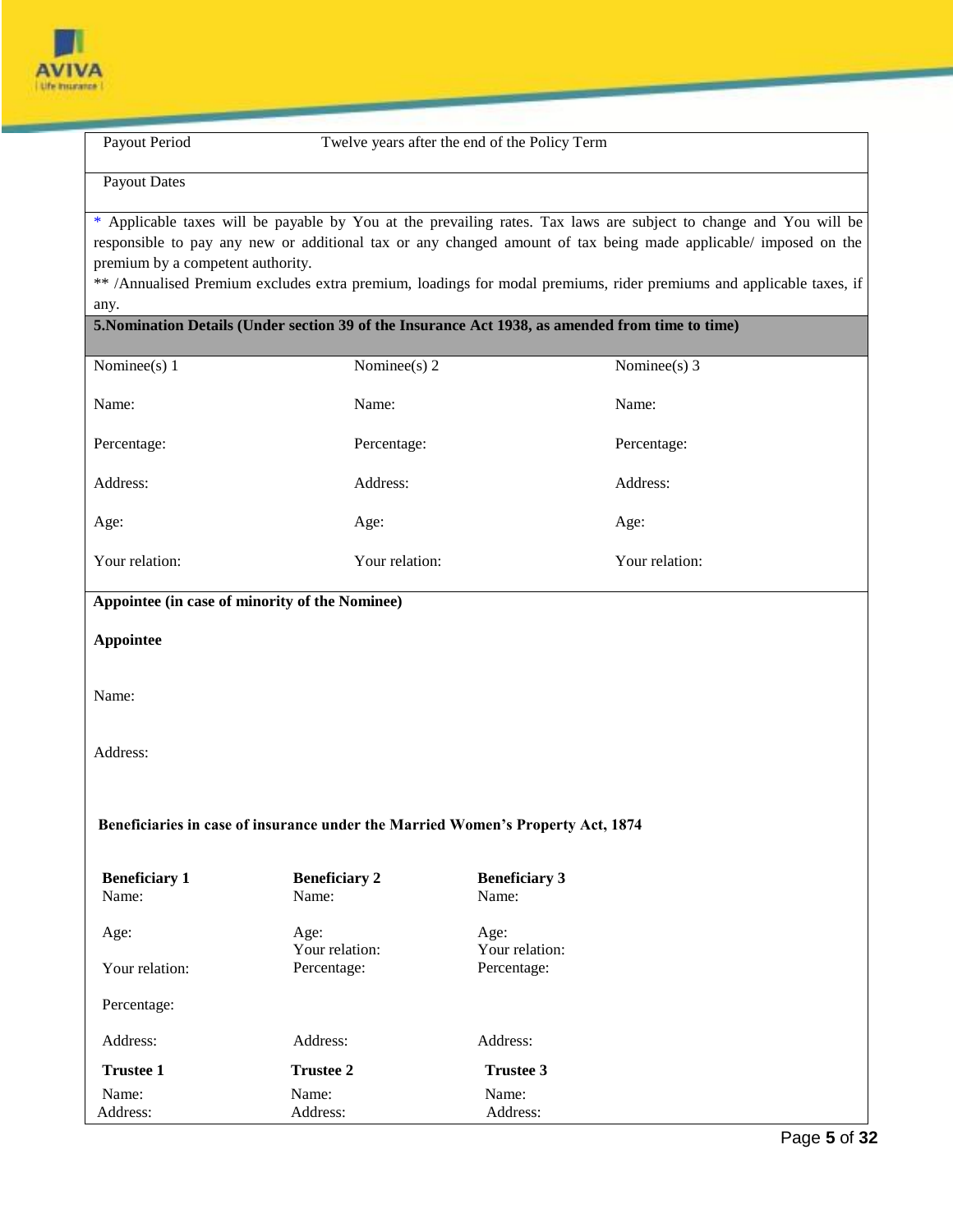

Payout Period Twelve years after the end of the Policy Term

Payout Dates

\* Applicable taxes will be payable by You at the prevailing rates. Tax laws are subject to change and You will be responsible to pay any new or additional tax or any changed amount of tax being made applicable/ imposed on the premium by a competent authority.

\*\* /Annualised Premium excludes extra premium, loadings for modal premiums, rider premiums and applicable taxes, if any.

# **5.Nomination Details (Under section 39 of the Insurance Act 1938, as amended from time to time)**

| Nominee(s) 1                                   | Nominee(s) 2         | Nominee(s) $3$                                                                  |
|------------------------------------------------|----------------------|---------------------------------------------------------------------------------|
| Name:                                          | Name:                | Name:                                                                           |
|                                                |                      |                                                                                 |
| Percentage:                                    | Percentage:          | Percentage:                                                                     |
| Address:                                       | Address:             | Address:                                                                        |
| Age:                                           | Age:                 | Age:                                                                            |
| Your relation:                                 | Your relation:       | Your relation:                                                                  |
| Appointee (in case of minority of the Nominee) |                      |                                                                                 |
| <b>Appointee</b>                               |                      |                                                                                 |
|                                                |                      |                                                                                 |
| Name:                                          |                      |                                                                                 |
|                                                |                      |                                                                                 |
| Address:                                       |                      |                                                                                 |
|                                                |                      |                                                                                 |
|                                                |                      |                                                                                 |
|                                                |                      | Beneficiaries in case of insurance under the Married Women's Property Act, 1874 |
| <b>Beneficiary 1</b>                           | <b>Beneficiary 2</b> | <b>Beneficiary 3</b>                                                            |
| Name:                                          | Name:                | Name:                                                                           |
| Age:                                           | Age:                 | Age:                                                                            |
|                                                | Your relation:       | Your relation:                                                                  |
| Your relation:                                 | Percentage:          | Percentage:                                                                     |
| Percentage:                                    |                      |                                                                                 |
| Address:                                       | Address:             | Address:                                                                        |
| <b>Trustee 1</b>                               | <b>Trustee 2</b>     | <b>Trustee 3</b>                                                                |
| Name:                                          | Name:                | Name:                                                                           |
| Address:                                       | Address:             | Address:                                                                        |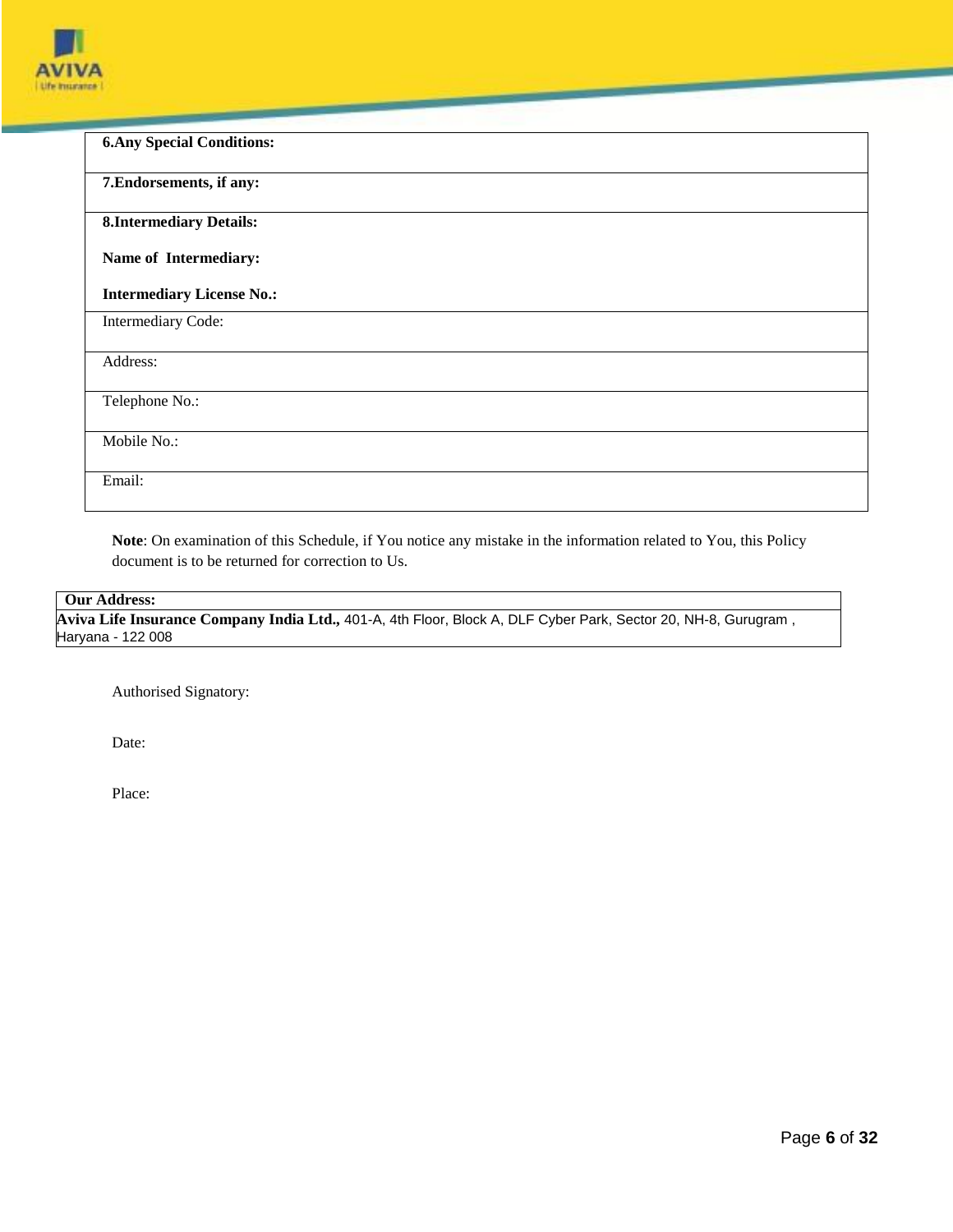

| <b>6. Any Special Conditions:</b> |
|-----------------------------------|
| 7. Endorsements, if any:          |
| <b>8.Intermediary Details:</b>    |
| Name of Intermediary:             |
| <b>Intermediary License No.:</b>  |
| Intermediary Code:                |
| Address:                          |
| Telephone No.:                    |
| Mobile No.:                       |
| Email:                            |

**Note**: On examination of this Schedule, if You notice any mistake in the information related to You, this Policy document is to be returned for correction to Us.

# **Our Address:**

**Aviva Life Insurance Company India Ltd.,** 401-A, 4th Floor, Block A, DLF Cyber Park, Sector 20, NH-8, Gurugram , Haryana - 122 008

Authorised Signatory:

Date:

Place: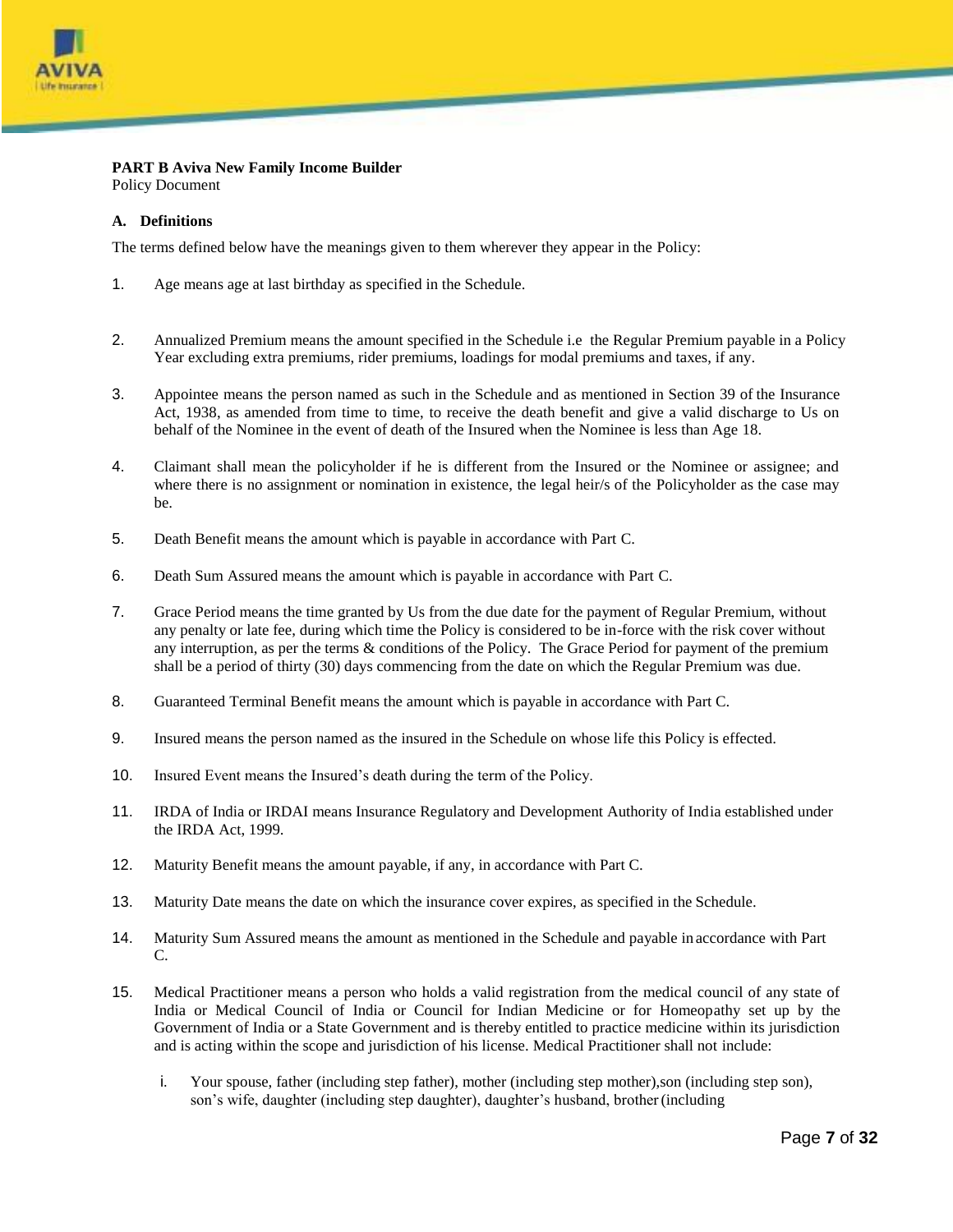

# **PART B Aviva New Family Income Builder**

Policy Document

## **A. Definitions**

The terms defined below have the meanings given to them wherever they appear in the Policy:

- 1. Age means age at last birthday as specified in the Schedule.
- 2. Annualized Premium means the amount specified in the Schedule i.e the Regular Premium payable in a Policy Year excluding extra premiums, rider premiums, loadings for modal premiums and taxes, if any.
- 3. Appointee means the person named as such in the Schedule and as mentioned in Section 39 of the Insurance Act, 1938, as amended from time to time, to receive the death benefit and give a valid discharge to Us on behalf of the Nominee in the event of death of the Insured when the Nominee is less than Age 18.
- 4. Claimant shall mean the policyholder if he is different from the Insured or the Nominee or assignee; and where there is no assignment or nomination in existence, the legal heir/s of the Policyholder as the case may be.
- 5. Death Benefit means the amount which is payable in accordance with Part C.
- 6. Death Sum Assured means the amount which is payable in accordance with Part C.
- 7. Grace Period means the time granted by Us from the due date for the payment of Regular Premium, without any penalty or late fee, during which time the Policy is considered to be in-force with the risk cover without any interruption, as per the terms & conditions of the Policy. The Grace Period for payment of the premium shall be a period of thirty (30) days commencing from the date on which the Regular Premium was due.
- 8. Guaranteed Terminal Benefit means the amount which is payable in accordance with Part C.
- 9. Insured means the person named as the insured in the Schedule on whose life this Policy is effected.
- 10. Insured Event means the Insured's death during the term of the Policy.
- 11. IRDA of India or IRDAI means Insurance Regulatory and Development Authority of India established under the IRDA Act, 1999.
- 12. Maturity Benefit means the amount payable, if any, in accordance with Part C.
- 13. Maturity Date means the date on which the insurance cover expires, as specified in the Schedule.
- 14. Maturity Sum Assured means the amount as mentioned in the Schedule and payable in accordance with Part C.
- 15. Medical Practitioner means a person who holds a valid registration from the medical council of any state of India or Medical Council of India or Council for Indian Medicine or for Homeopathy set up by the Government of India or a State Government and is thereby entitled to practice medicine within its jurisdiction and is acting within the scope and jurisdiction of his license. Medical Practitioner shall not include:
	- i. Your spouse, father (including step father), mother (including step mother),son (including step son), son's wife, daughter (including step daughter), daughter's husband, brother(including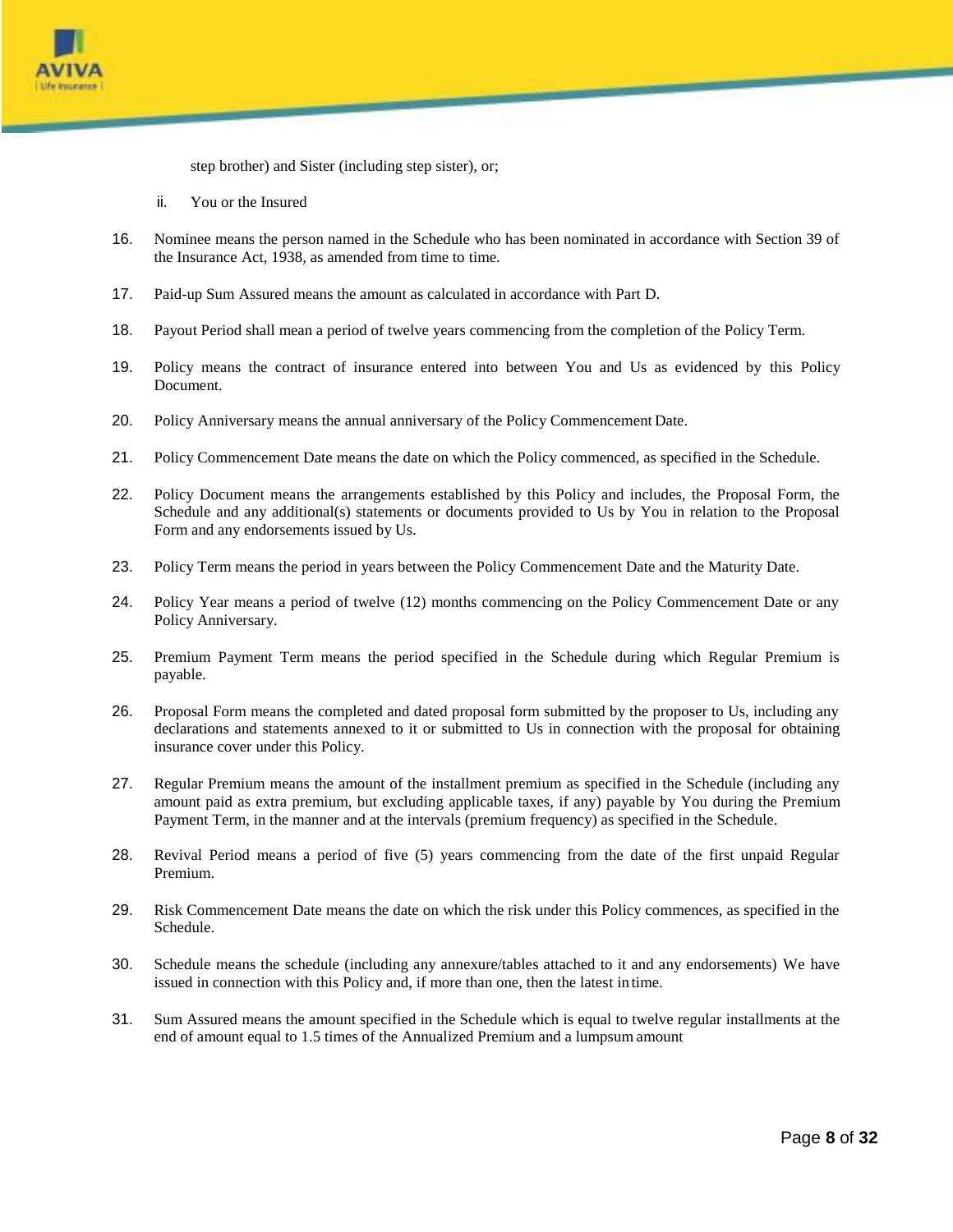

step brother) and Sister (including step sister), or;

- ii. You or the Insured
- 16. Nominee means the person named in the Schedule who has been nominated in accordance with Section 39 of the Insurance Act, 1938, as amended from time to time.
- 17. Paid-up Sum Assured means the amount as calculated in accordance with Part D.
- 18. Payout Period shall mean a period of twelve years commencing from the completion of the Policy Term.
- 19. Policy means the contract of insurance entered into between You and Us as evidenced by this Policy Document.
- 20. Policy Anniversary means the annual anniversary of the Policy Commencement Date.
- 21. Policy Commencement Date means the date on which the Policy commenced, as specified in the Schedule.
- 22. Policy Document means the arrangements established by this Policy and includes, the Proposal Form, the Schedule and any additional(s) statements or documents provided to Us by You in relation to the Proposal Form and any endorsements issued by Us.
- 23. Policy Term means the period in years between the Policy Commencement Date and the Maturity Date.
- 24. Policy Year means a period of twelve (12) months commencing on the Policy Commencement Date or any Policy Anniversary.
- 25. Premium Payment Term means the period specified in the Schedule during which Regular Premium is payable.
- 26. Proposal Form means the completed and dated proposal form submitted by the proposer to Us, including any declarations and statements annexed to it or submitted to Us in connection with the proposal for obtaining insurance cover under this Policy.
- 27. Regular Premium means the amount of the installment premium as specified in the Schedule (including any amount paid as extra premium, but excluding applicable taxes, if any) payable by You during the Premium Payment Term, in the manner and at the intervals (premium frequency) as specified in the Schedule.
- 28. Revival Period means a period of five (5) years commencing from the date of the first unpaid Regular Premium.
- 29. Risk Commencement Date means the date on which the risk under this Policy commences, as specified in the Schedule.
- 30. Schedule means the schedule (including any annexure/tables attached to it and any endorsements) We have issued in connection with this Policy and, if more than one, then the latest in time.
- 31. Sum Assured means the amount specified in the Schedule which is equal to twelve regular installments at the end of amount equal to 1.5 times of the Annualized Premium and a lumpsum amount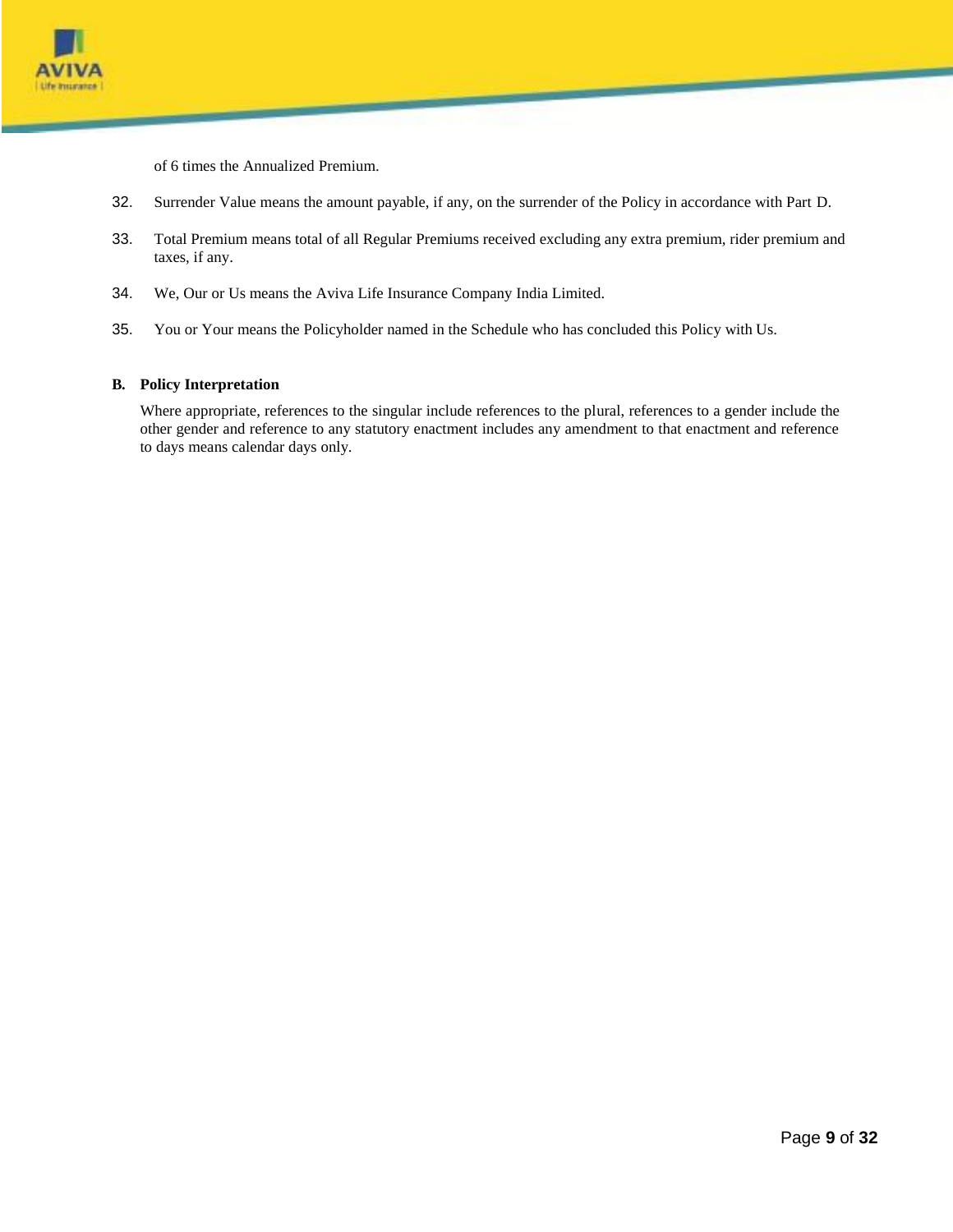

of 6 times the Annualized Premium.

- 32. Surrender Value means the amount payable, if any, on the surrender of the Policy in accordance with Part D.
- 33. Total Premium means total of all Regular Premiums received excluding any extra premium, rider premium and taxes, if any.
- 34. We, Our or Us means the Aviva Life Insurance Company India Limited.
- 35. You or Your means the Policyholder named in the Schedule who has concluded this Policy with Us.

## **B. Policy Interpretation**

Where appropriate, references to the singular include references to the plural, references to a gender include the other gender and reference to any statutory enactment includes any amendment to that enactment and reference to days means calendar days only.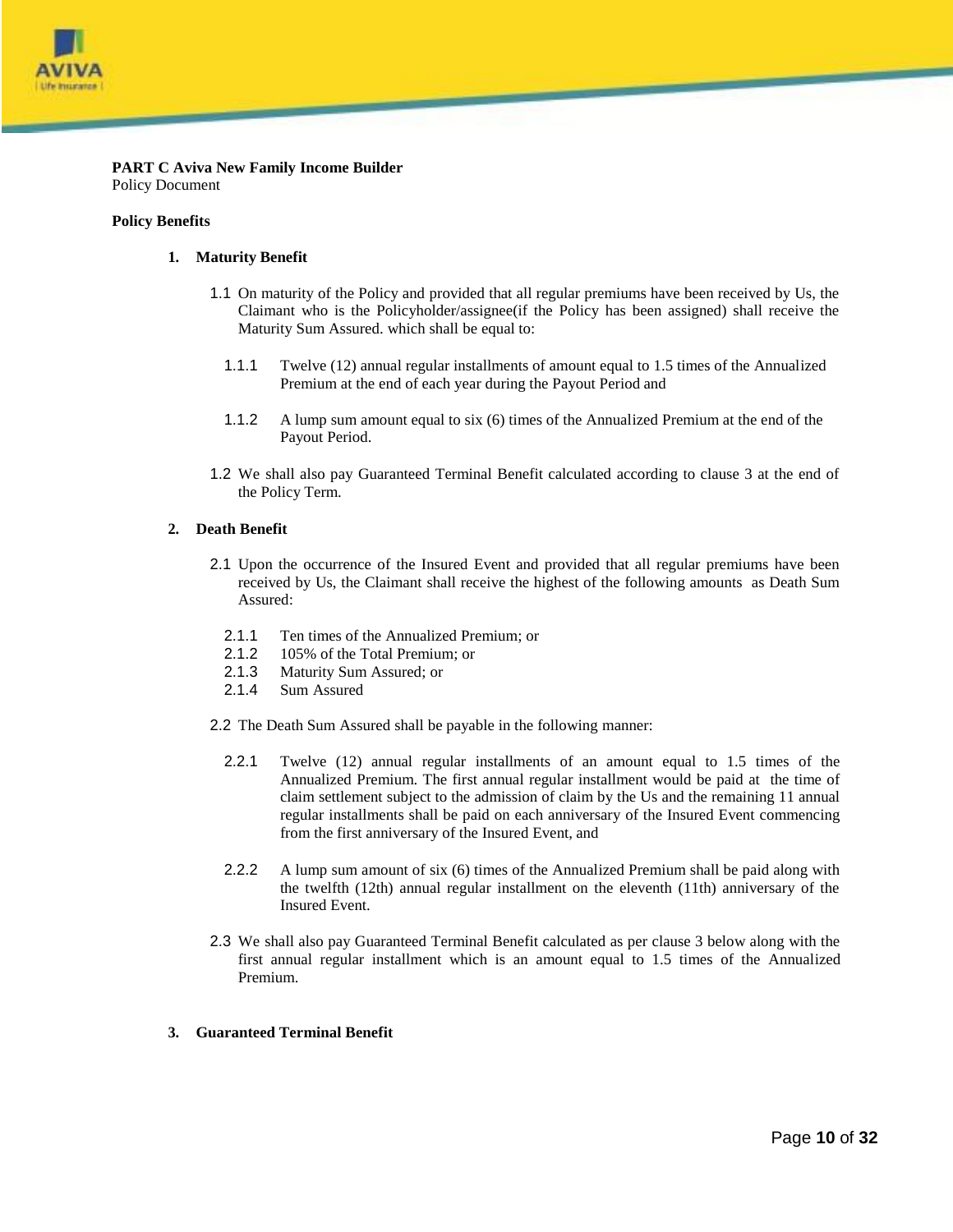

**PART C Aviva New Family Income Builder** Policy Document

#### **Policy Benefits**

#### **1. Maturity Benefit**

- 1.1 On maturity of the Policy and provided that all regular premiums have been received by Us, the Claimant who is the Policyholder/assignee(if the Policy has been assigned) shall receive the Maturity Sum Assured. which shall be equal to:
	- 1.1.1 Twelve (12) annual regular installments of amount equal to 1.5 times of the Annualized Premium at the end of each year during the Payout Period and
	- 1.1.2 A lump sum amount equal to six (6) times of the Annualized Premium at the end of the Payout Period.
- 1.2 We shall also pay Guaranteed Terminal Benefit calculated according to clause 3 at the end of the Policy Term.

#### **2. Death Benefit**

- 2.1 Upon the occurrence of the Insured Event and provided that all regular premiums have been received by Us, the Claimant shall receive the highest of the following amounts as Death Sum Assured:
	- 2.1.1 Ten times of the Annualized Premium; or
	- 2.1.2 105% of the Total Premium; or
	- 2.1.3 Maturity Sum Assured; or
	- 2.1.4 Sum Assured
- 2.2 The Death Sum Assured shall be payable in the following manner:
	- 2.2.1 Twelve (12) annual regular installments of an amount equal to 1.5 times of the Annualized Premium. The first annual regular installment would be paid at the time of claim settlement subject to the admission of claim by the Us and the remaining 11 annual regular installments shall be paid on each anniversary of the Insured Event commencing from the first anniversary of the Insured Event, and
	- 2.2.2 A lump sum amount of six (6) times of the Annualized Premium shall be paid along with the twelfth (12th) annual regular installment on the eleventh (11th) anniversary of the Insured Event.
- 2.3 We shall also pay Guaranteed Terminal Benefit calculated as per clause 3 below along with the first annual regular installment which is an amount equal to 1.5 times of the Annualized Premium.

#### **3. Guaranteed Terminal Benefit**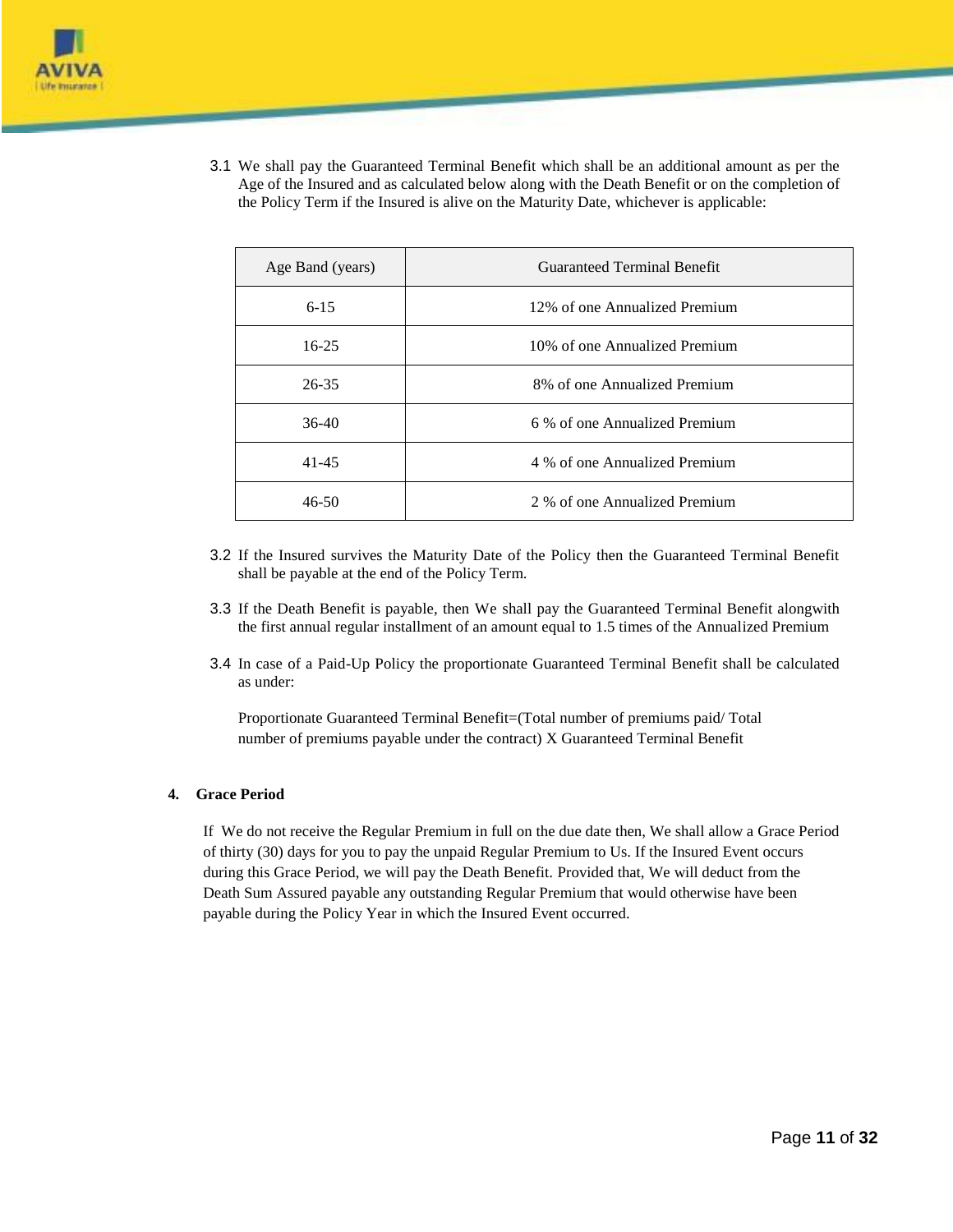

3.1 We shall pay the Guaranteed Terminal Benefit which shall be an additional amount as per the Age of the Insured and as calculated below along with the Death Benefit or on the completion of the Policy Term if the Insured is alive on the Maturity Date, whichever is applicable:

| Age Band (years) | Guaranteed Terminal Benefit   |  |
|------------------|-------------------------------|--|
| $6 - 15$         | 12% of one Annualized Premium |  |
| $16-25$          | 10% of one Annualized Premium |  |
| $26 - 35$        | 8% of one Annualized Premium  |  |
| $36-40$          | 6 % of one Annualized Premium |  |
| $41 - 45$        | 4 % of one Annualized Premium |  |
| $46 - 50$        | 2 % of one Annualized Premium |  |

- 3.2 If the Insured survives the Maturity Date of the Policy then the Guaranteed Terminal Benefit shall be payable at the end of the Policy Term.
- 3.3 If the Death Benefit is payable, then We shall pay the Guaranteed Terminal Benefit alongwith the first annual regular installment of an amount equal to 1.5 times of the Annualized Premium
- 3.4 In case of a Paid-Up Policy the proportionate Guaranteed Terminal Benefit shall be calculated as under:

Proportionate Guaranteed Terminal Benefit=(Total number of premiums paid/ Total number of premiums payable under the contract) X Guaranteed Terminal Benefit

# **4. Grace Period**

If We do not receive the Regular Premium in full on the due date then, We shall allow a Grace Period of thirty (30) days for you to pay the unpaid Regular Premium to Us. If the Insured Event occurs during this Grace Period, we will pay the Death Benefit. Provided that, We will deduct from the Death Sum Assured payable any outstanding Regular Premium that would otherwise have been payable during the Policy Year in which the Insured Event occurred.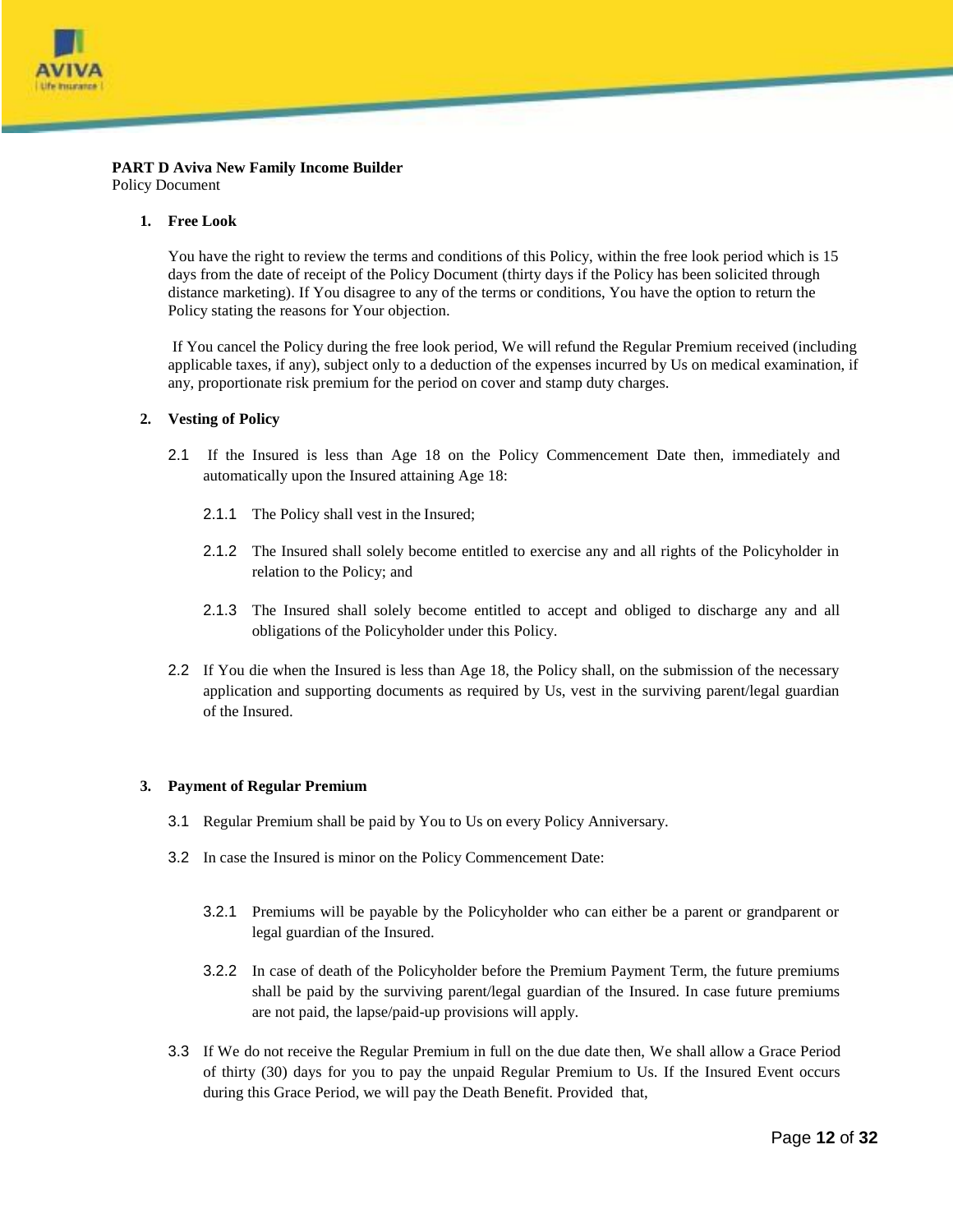

#### **PART D Aviva New Family Income Builder** Policy Document

#### **1. Free Look**

You have the right to review the terms and conditions of this Policy, within the free look period which is 15 days from the date of receipt of the Policy Document (thirty days if the Policy has been solicited through distance marketing). If You disagree to any of the terms or conditions, You have the option to return the Policy stating the reasons for Your objection.

If You cancel the Policy during the free look period, We will refund the Regular Premium received (including applicable taxes, if any), subject only to a deduction of the expenses incurred by Us on medical examination, if any, proportionate risk premium for the period on cover and stamp duty charges.

#### **2. Vesting of Policy**

- 2.1 If the Insured is less than Age 18 on the Policy Commencement Date then, immediately and automatically upon the Insured attaining Age 18:
	- 2.1.1 The Policy shall vest in the Insured;
	- 2.1.2 The Insured shall solely become entitled to exercise any and all rights of the Policyholder in relation to the Policy; and
	- 2.1.3 The Insured shall solely become entitled to accept and obliged to discharge any and all obligations of the Policyholder under this Policy.
- 2.2 If You die when the Insured is less than Age 18, the Policy shall, on the submission of the necessary application and supporting documents as required by Us, vest in the surviving parent/legal guardian of the Insured.

#### **3. Payment of Regular Premium**

- 3.1 Regular Premium shall be paid by You to Us on every Policy Anniversary.
- 3.2 In case the Insured is minor on the Policy Commencement Date:
	- 3.2.1 Premiums will be payable by the Policyholder who can either be a parent or grandparent or legal guardian of the Insured.
	- 3.2.2 In case of death of the Policyholder before the Premium Payment Term, the future premiums shall be paid by the surviving parent/legal guardian of the Insured. In case future premiums are not paid, the lapse/paid-up provisions will apply.
- 3.3 If We do not receive the Regular Premium in full on the due date then, We shall allow a Grace Period of thirty (30) days for you to pay the unpaid Regular Premium to Us. If the Insured Event occurs during this Grace Period, we will pay the Death Benefit. Provided that,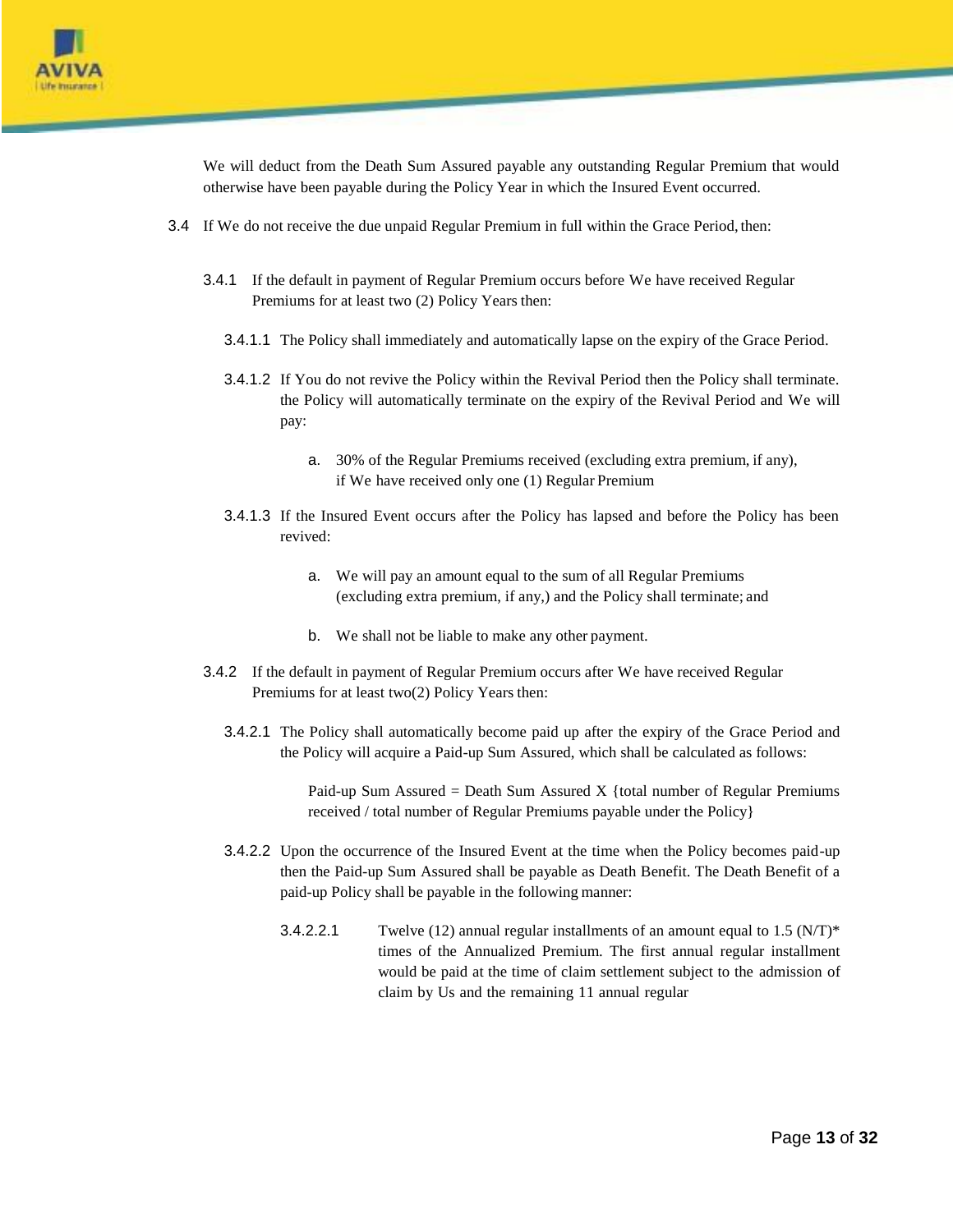

We will deduct from the Death Sum Assured payable any outstanding Regular Premium that would otherwise have been payable during the Policy Year in which the Insured Event occurred.

- 3.4 If We do not receive the due unpaid Regular Premium in full within the Grace Period, then:
	- 3.4.1 If the default in payment of Regular Premium occurs before We have received Regular Premiums for at least two (2) Policy Years then:
		- 3.4.1.1 The Policy shall immediately and automatically lapse on the expiry of the Grace Period.
		- 3.4.1.2 If You do not revive the Policy within the Revival Period then the Policy shall terminate. the Policy will automatically terminate on the expiry of the Revival Period and We will pay:
			- a. 30% of the Regular Premiums received (excluding extra premium, if any), if We have received only one (1) Regular Premium
		- 3.4.1.3 If the Insured Event occurs after the Policy has lapsed and before the Policy has been revived:
			- a. We will pay an amount equal to the sum of all Regular Premiums (excluding extra premium, if any,) and the Policy shall terminate; and
			- b. We shall not be liable to make any other payment.
	- 3.4.2 If the default in payment of Regular Premium occurs after We have received Regular Premiums for at least two(2) Policy Years then:
		- 3.4.2.1 The Policy shall automatically become paid up after the expiry of the Grace Period and the Policy will acquire a Paid-up Sum Assured, which shall be calculated as follows:

Paid-up Sum Assured = Death Sum Assured X {total number of Regular Premiums received / total number of Regular Premiums payable under the Policy}

- 3.4.2.2 Upon the occurrence of the Insured Event at the time when the Policy becomes paid-up then the Paid-up Sum Assured shall be payable as Death Benefit. The Death Benefit of a paid-up Policy shall be payable in the following manner:
	- 3.4.2.2.1 Twelve (12) annual regular installments of an amount equal to  $1.5$  (N/T)\* times of the Annualized Premium. The first annual regular installment would be paid at the time of claim settlement subject to the admission of claim by Us and the remaining 11 annual regular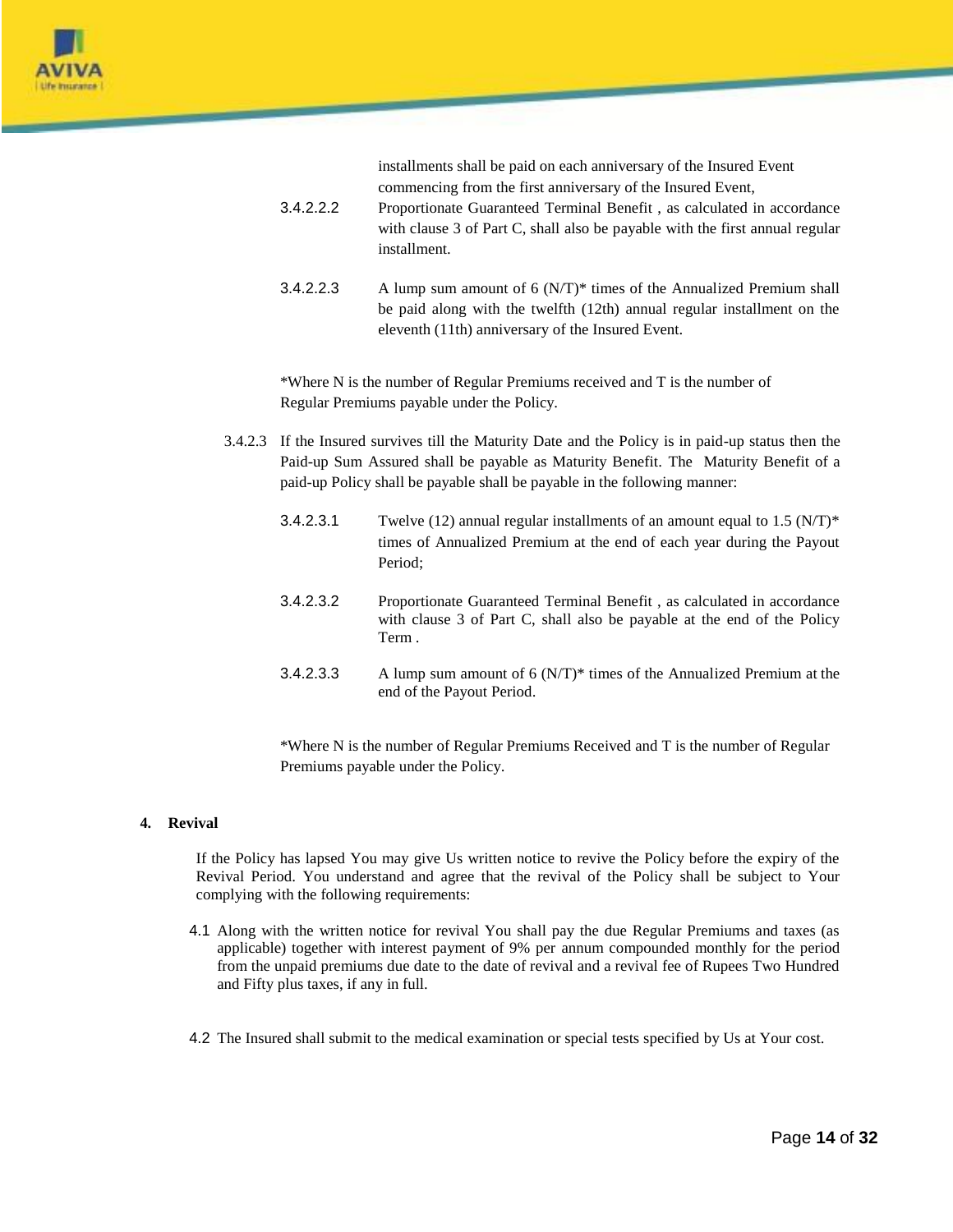

installments shall be paid on each anniversary of the Insured Event commencing from the first anniversary of the Insured Event,

- 3.4.2.2.2 Proportionate Guaranteed Terminal Benefit , as calculated in accordance with clause 3 of Part C, shall also be payable with the first annual regular installment.
- 3.4.2.2.3 A lump sum amount of  $6 \, (N/T)^*$  times of the Annualized Premium shall be paid along with the twelfth (12th) annual regular installment on the eleventh (11th) anniversary of the Insured Event.

\*Where N is the number of Regular Premiums received and T is the number of Regular Premiums payable under the Policy.

- 3.4.2.3 If the Insured survives till the Maturity Date and the Policy is in paid-up status then the Paid-up Sum Assured shall be payable as Maturity Benefit. The Maturity Benefit of a paid-up Policy shall be payable shall be payable in the following manner:
	- 3.4.2.3.1 Twelve (12) annual regular installments of an amount equal to  $1.5 \text{ (N/T)}^*$ times of Annualized Premium at the end of each year during the Payout Period;
	- 3.4.2.3.2 Proportionate Guaranteed Terminal Benefit , as calculated in accordance with clause 3 of Part C, shall also be payable at the end of the Policy Term .
	- 3.4.2.3.3 A lump sum amount of 6  $(N/T)^*$  times of the Annualized Premium at the end of the Payout Period.

\*Where N is the number of Regular Premiums Received and T is the number of Regular Premiums payable under the Policy.

#### **4. Revival**

If the Policy has lapsed You may give Us written notice to revive the Policy before the expiry of the Revival Period. You understand and agree that the revival of the Policy shall be subject to Your complying with the following requirements:

- 4.1 Along with the written notice for revival You shall pay the due Regular Premiums and taxes (as applicable) together with interest payment of 9% per annum compounded monthly for the period from the unpaid premiums due date to the date of revival and a revival fee of Rupees Two Hundred and Fifty plus taxes, if any in full.
- 4.2 The Insured shall submit to the medical examination or special tests specified by Us at Your cost.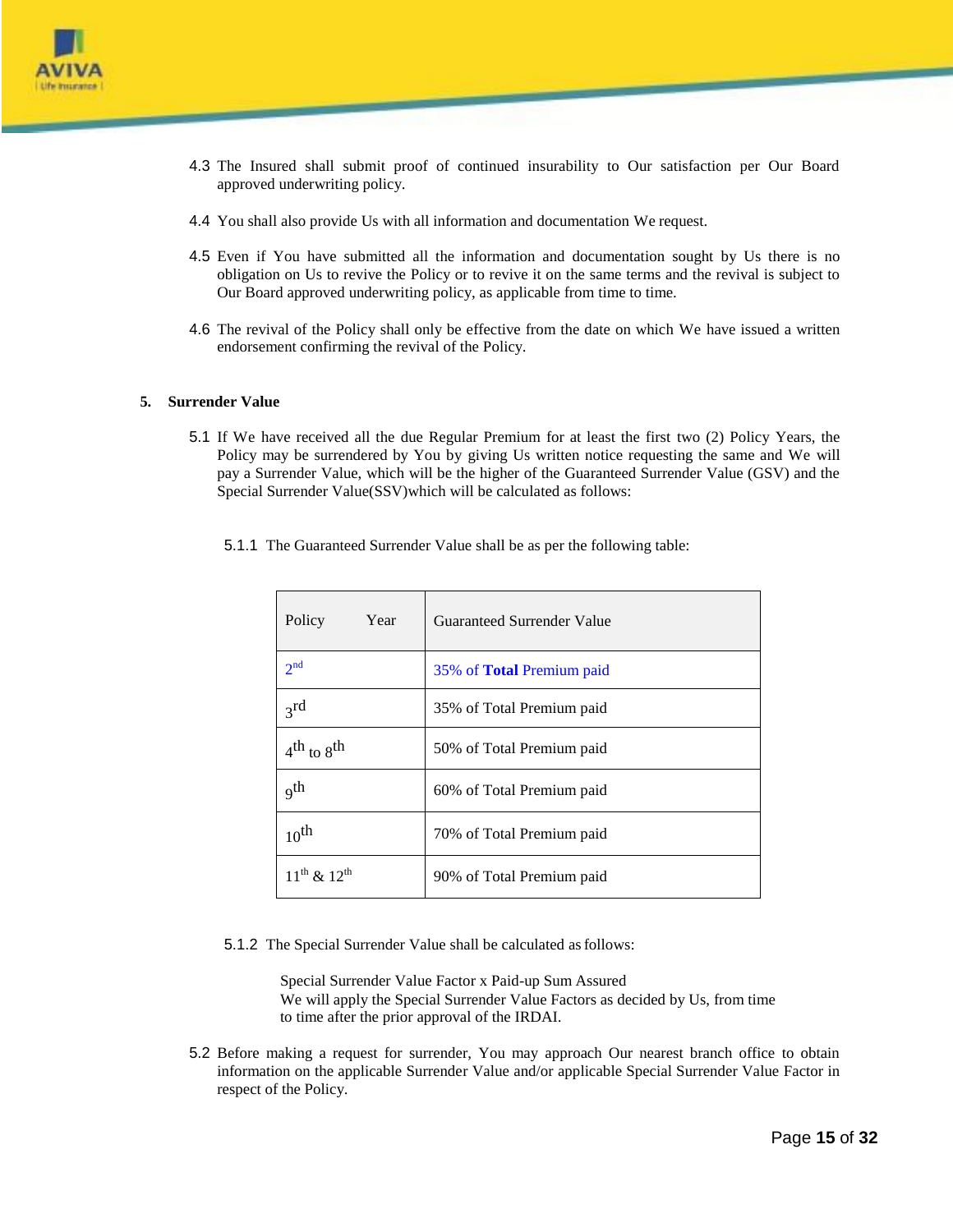

- 4.3 The Insured shall submit proof of continued insurability to Our satisfaction per Our Board approved underwriting policy.
- 4.4 You shall also provide Us with all information and documentation We request.
- 4.5 Even if You have submitted all the information and documentation sought by Us there is no obligation on Us to revive the Policy or to revive it on the same terms and the revival is subject to Our Board approved underwriting policy, as applicable from time to time.
- 4.6 The revival of the Policy shall only be effective from the date on which We have issued a written endorsement confirming the revival of the Policy.

#### **5. Surrender Value**

5.1 If We have received all the due Regular Premium for at least the first two (2) Policy Years, the Policy may be surrendered by You by giving Us written notice requesting the same and We will pay a Surrender Value, which will be the higher of the Guaranteed Surrender Value (GSV) and the Special Surrender Value(SSV)which will be calculated as follows:

|  | 5.1.1 The Guaranteed Surrender Value shall be as per the following table: |  |
|--|---------------------------------------------------------------------------|--|
|  |                                                                           |  |

| Policy<br>Year        | Guaranteed Surrender Value       |
|-----------------------|----------------------------------|
| 2 <sup>nd</sup>       | 35% of <b>Total</b> Premium paid |
| 2rd                   | 35% of Total Premium paid        |
| $4^{th}$ to $8^{th}$  | 50% of Total Premium paid        |
| $_{\rm q}$ th         | 60% of Total Premium paid        |
| $10^{th}$             | 70% of Total Premium paid        |
| $11^{th}$ & $12^{th}$ | 90% of Total Premium paid        |

5.1.2 The Special Surrender Value shall be calculated asfollows:

Special Surrender Value Factor x Paid-up Sum Assured We will apply the Special Surrender Value Factors as decided by Us, from time to time after the prior approval of the IRDAI.

5.2 Before making a request for surrender, You may approach Our nearest branch office to obtain information on the applicable Surrender Value and/or applicable Special Surrender Value Factor in respect of the Policy.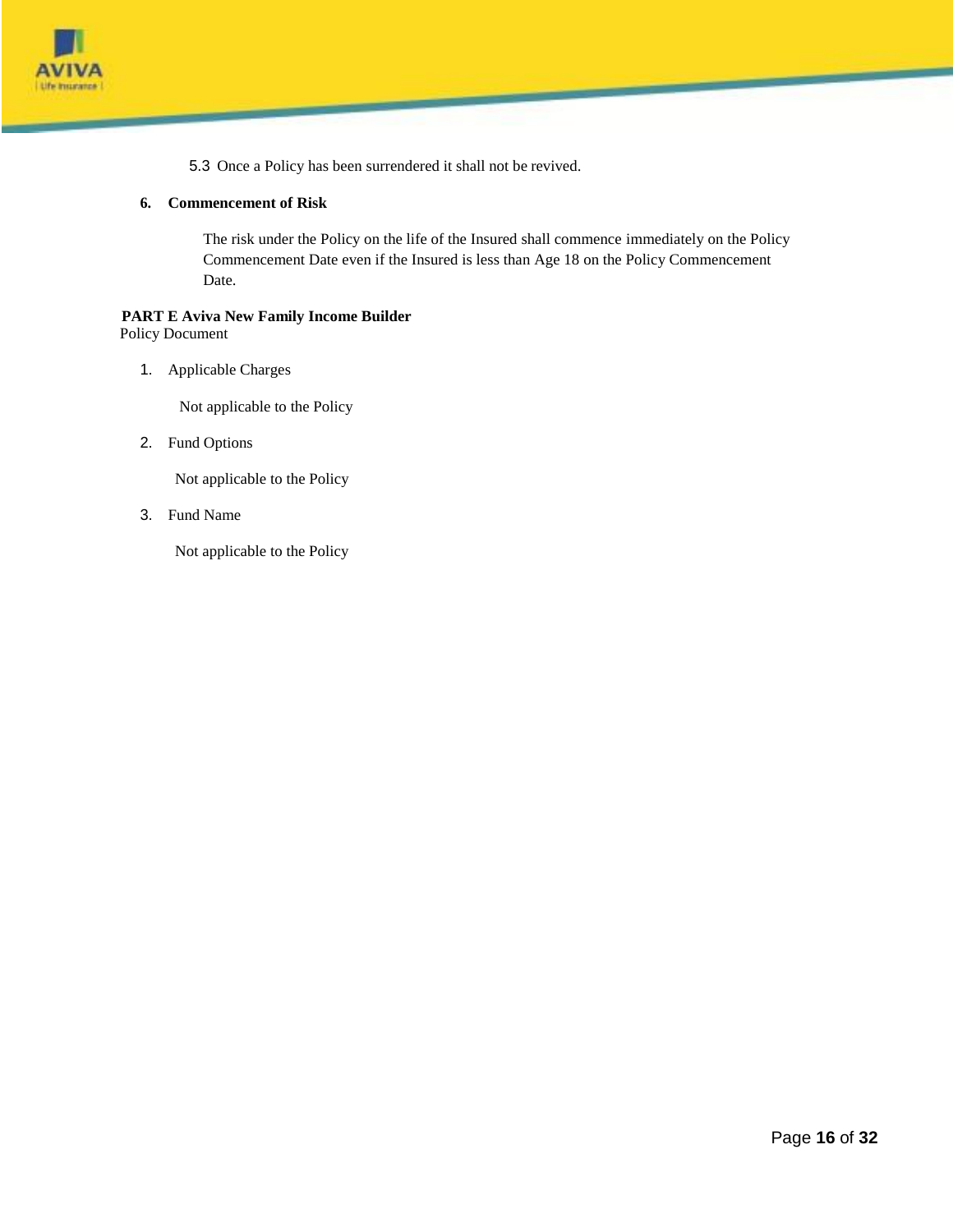

5.3 Once a Policy has been surrendered it shall not be revived.

## **6. Commencement of Risk**

The risk under the Policy on the life of the Insured shall commence immediately on the Policy Commencement Date even if the Insured is less than Age 18 on the Policy Commencement Date.

# **PART E Aviva New Family Income Builder**

Policy Document

1. Applicable Charges

Not applicable to the Policy

2. Fund Options

Not applicable to the Policy

3. Fund Name

Not applicable to the Policy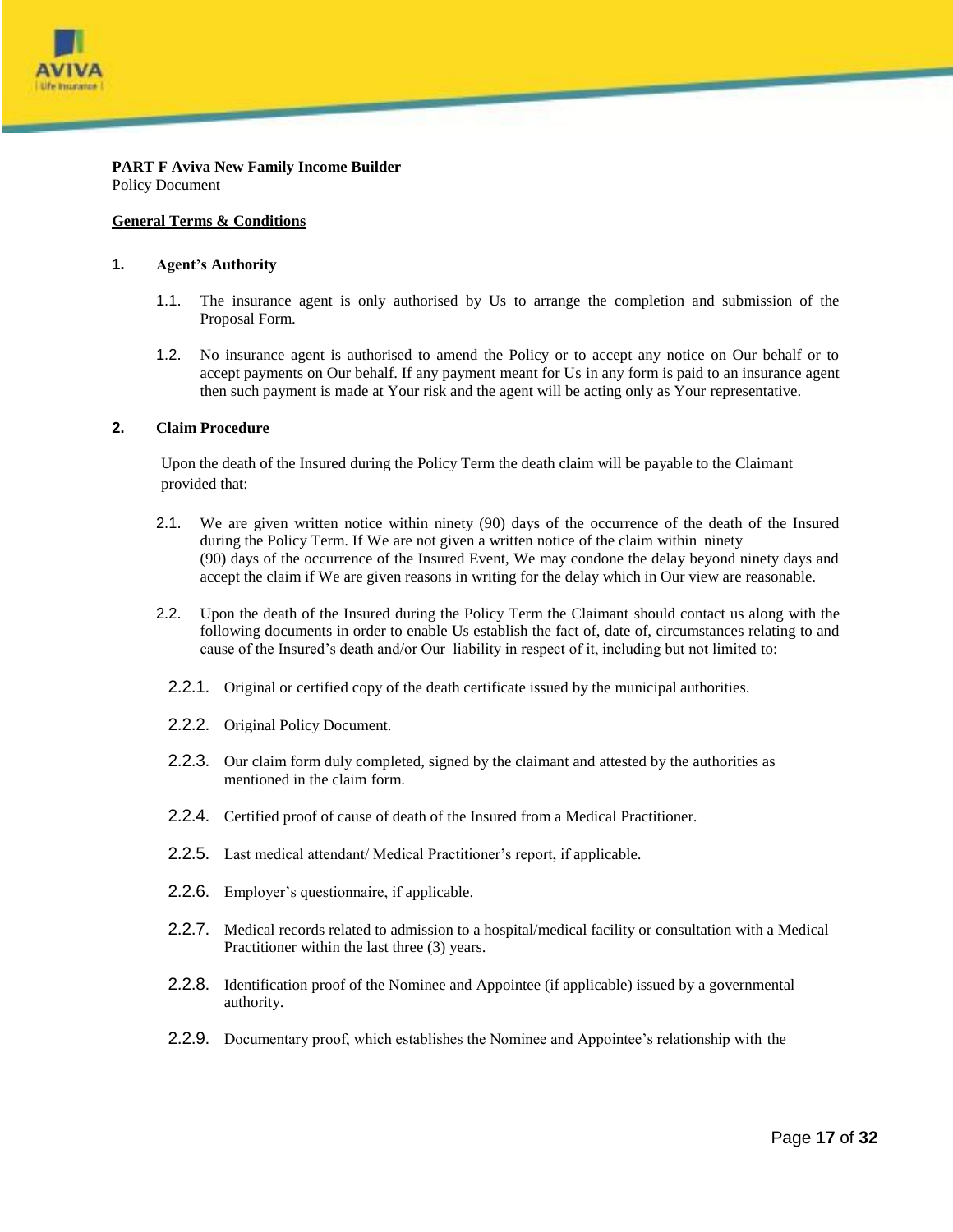

**PART F Aviva New Family Income Builder** Policy Document

#### **General Terms & Conditions**

#### **1. Agent's Authority**

- 1.1. The insurance agent is only authorised by Us to arrange the completion and submission of the Proposal Form.
- 1.2. No insurance agent is authorised to amend the Policy or to accept any notice on Our behalf or to accept payments on Our behalf. If any payment meant for Us in any form is paid to an insurance agent then such payment is made at Your risk and the agent will be acting only as Your representative.

#### **2. Claim Procedure**

Upon the death of the Insured during the Policy Term the death claim will be payable to the Claimant provided that:

- 2.1. We are given written notice within ninety (90) days of the occurrence of the death of the Insured during the Policy Term. If We are not given a written notice of the claim within ninety (90) days of the occurrence of the Insured Event, We may condone the delay beyond ninety days and accept the claim if We are given reasons in writing for the delay which in Our view are reasonable.
- 2.2. Upon the death of the Insured during the Policy Term the Claimant should contact us along with the following documents in order to enable Us establish the fact of, date of, circumstances relating to and cause of the Insured's death and/or Our liability in respect of it, including but not limited to:
	- 2.2.1. Original or certified copy of the death certificate issued by the municipal authorities.
	- 2.2.2. Original Policy Document.
	- 2.2.3. Our claim form duly completed, signed by the claimant and attested by the authorities as mentioned in the claim form.
	- 2.2.4. Certified proof of cause of death of the Insured from a Medical Practitioner.
	- 2.2.5. Last medical attendant/ Medical Practitioner's report, if applicable.
	- 2.2.6. Employer's questionnaire, if applicable.
	- 2.2.7. Medical records related to admission to a hospital/medical facility or consultation with a Medical Practitioner within the last three (3) years.
	- 2.2.8. Identification proof of the Nominee and Appointee (if applicable) issued by a governmental authority.
	- 2.2.9. Documentary proof, which establishes the Nominee and Appointee's relationship with the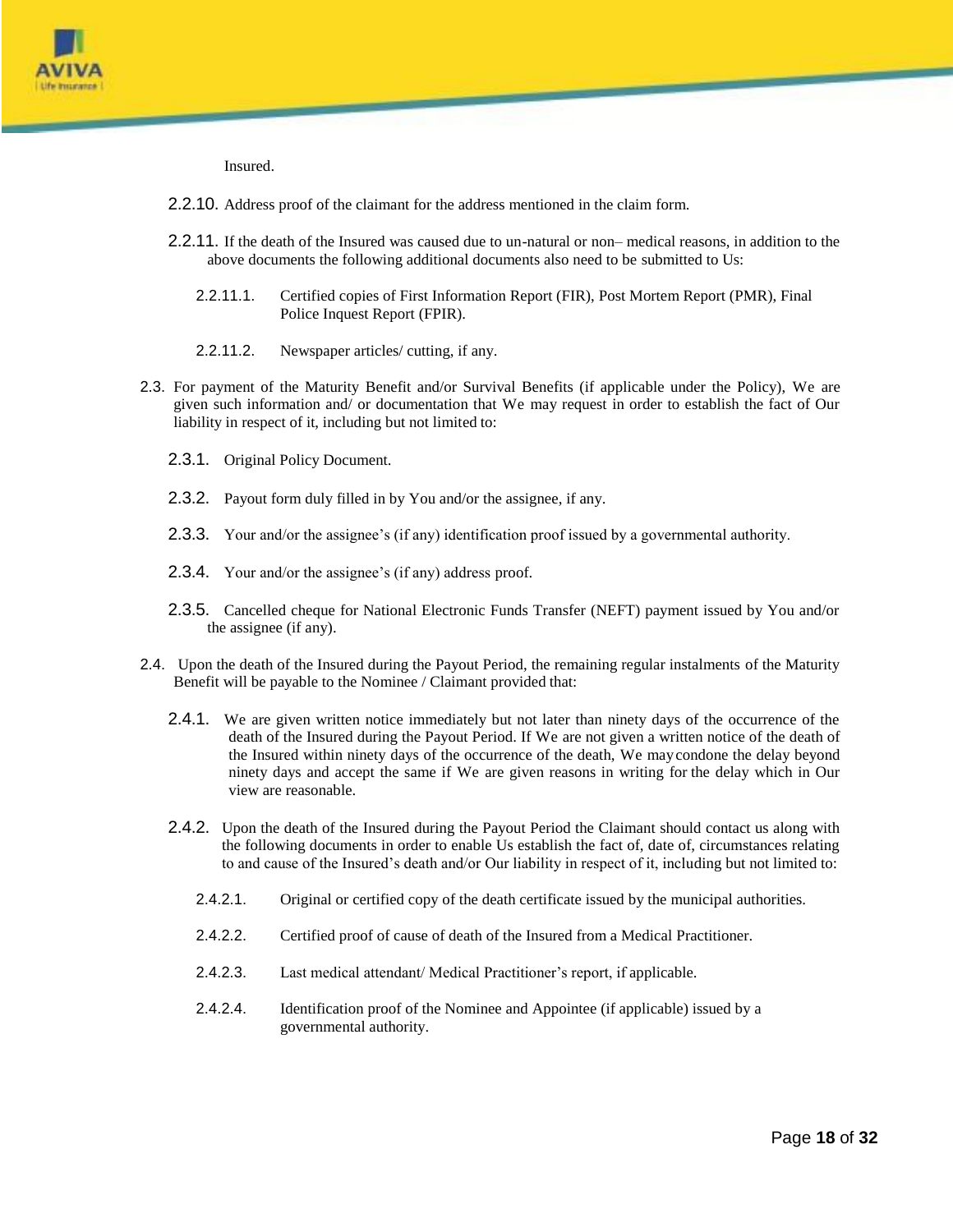

Insured.

- 2.2.10. Address proof of the claimant for the address mentioned in the claim form.
- 2.2.11. If the death of the Insured was caused due to un-natural or non– medical reasons, in addition to the above documents the following additional documents also need to be submitted to Us:
	- 2.2.11.1. Certified copies of First Information Report (FIR), Post Mortem Report (PMR), Final Police Inquest Report (FPIR).
	- 2.2.11.2. Newspaper articles/ cutting, if any.
- 2.3. For payment of the Maturity Benefit and/or Survival Benefits (if applicable under the Policy), We are given such information and/ or documentation that We may request in order to establish the fact of Our liability in respect of it, including but not limited to:
	- 2.3.1. Original Policy Document.
	- 2.3.2. Payout form duly filled in by You and/or the assignee, if any.
	- 2.3.3. Your and/or the assignee's (if any) identification proof issued by a governmental authority.
	- 2.3.4. Your and/or the assignee's (if any) address proof.
	- 2.3.5. Cancelled cheque for National Electronic Funds Transfer (NEFT) payment issued by You and/or the assignee (if any).
- 2.4. Upon the death of the Insured during the Payout Period, the remaining regular instalments of the Maturity Benefit will be payable to the Nominee / Claimant provided that:
	- 2.4.1. We are given written notice immediately but not later than ninety days of the occurrence of the death of the Insured during the Payout Period. If We are not given a written notice of the death of the Insured within ninety days of the occurrence of the death, We maycondone the delay beyond ninety days and accept the same if We are given reasons in writing for the delay which in Our view are reasonable.
	- 2.4.2. Upon the death of the Insured during the Payout Period the Claimant should contact us along with the following documents in order to enable Us establish the fact of, date of, circumstances relating to and cause of the Insured's death and/or Our liability in respect of it, including but not limited to:
		- 2.4.2.1. Original or certified copy of the death certificate issued by the municipal authorities.
		- 2.4.2.2. Certified proof of cause of death of the Insured from a Medical Practitioner.
		- 2.4.2.3. Last medical attendant/ Medical Practitioner's report, if applicable.
		- 2.4.2.4. Identification proof of the Nominee and Appointee (if applicable) issued by a governmental authority.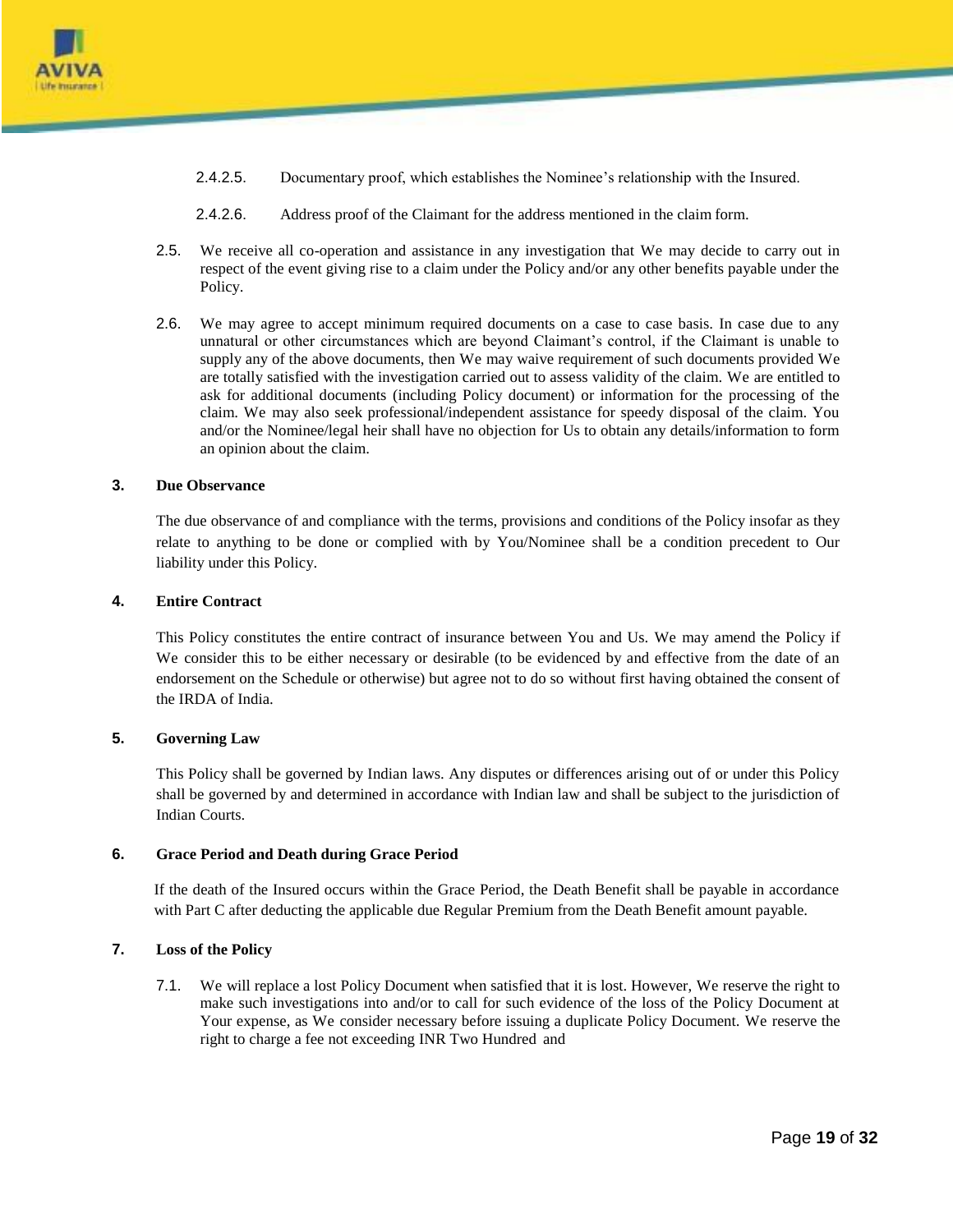

- 2.4.2.5. Documentary proof, which establishes the Nominee's relationship with the Insured.
- 2.4.2.6. Address proof of the Claimant for the address mentioned in the claim form.
- 2.5. We receive all co-operation and assistance in any investigation that We may decide to carry out in respect of the event giving rise to a claim under the Policy and/or any other benefits payable under the Policy.
- 2.6. We may agree to accept minimum required documents on a case to case basis. In case due to any unnatural or other circumstances which are beyond Claimant's control, if the Claimant is unable to supply any of the above documents, then We may waive requirement of such documents provided We are totally satisfied with the investigation carried out to assess validity of the claim. We are entitled to ask for additional documents (including Policy document) or information for the processing of the claim. We may also seek professional/independent assistance for speedy disposal of the claim. You and/or the Nominee/legal heir shall have no objection for Us to obtain any details/information to form an opinion about the claim.

#### **3. Due Observance**

The due observance of and compliance with the terms, provisions and conditions of the Policy insofar as they relate to anything to be done or complied with by You/Nominee shall be a condition precedent to Our liability under this Policy.

#### **4. Entire Contract**

This Policy constitutes the entire contract of insurance between You and Us. We may amend the Policy if We consider this to be either necessary or desirable (to be evidenced by and effective from the date of an endorsement on the Schedule or otherwise) but agree not to do so without first having obtained the consent of the IRDA of India.

#### **5. Governing Law**

This Policy shall be governed by Indian laws. Any disputes or differences arising out of or under this Policy shall be governed by and determined in accordance with Indian law and shall be subject to the jurisdiction of Indian Courts.

### **6. Grace Period and Death during Grace Period**

If the death of the Insured occurs within the Grace Period, the Death Benefit shall be payable in accordance with Part C after deducting the applicable due Regular Premium from the Death Benefit amount payable.

#### **7. Loss of the Policy**

7.1. We will replace a lost Policy Document when satisfied that it is lost. However, We reserve the right to make such investigations into and/or to call for such evidence of the loss of the Policy Document at Your expense, as We consider necessary before issuing a duplicate Policy Document. We reserve the right to charge a fee not exceeding INR Two Hundred and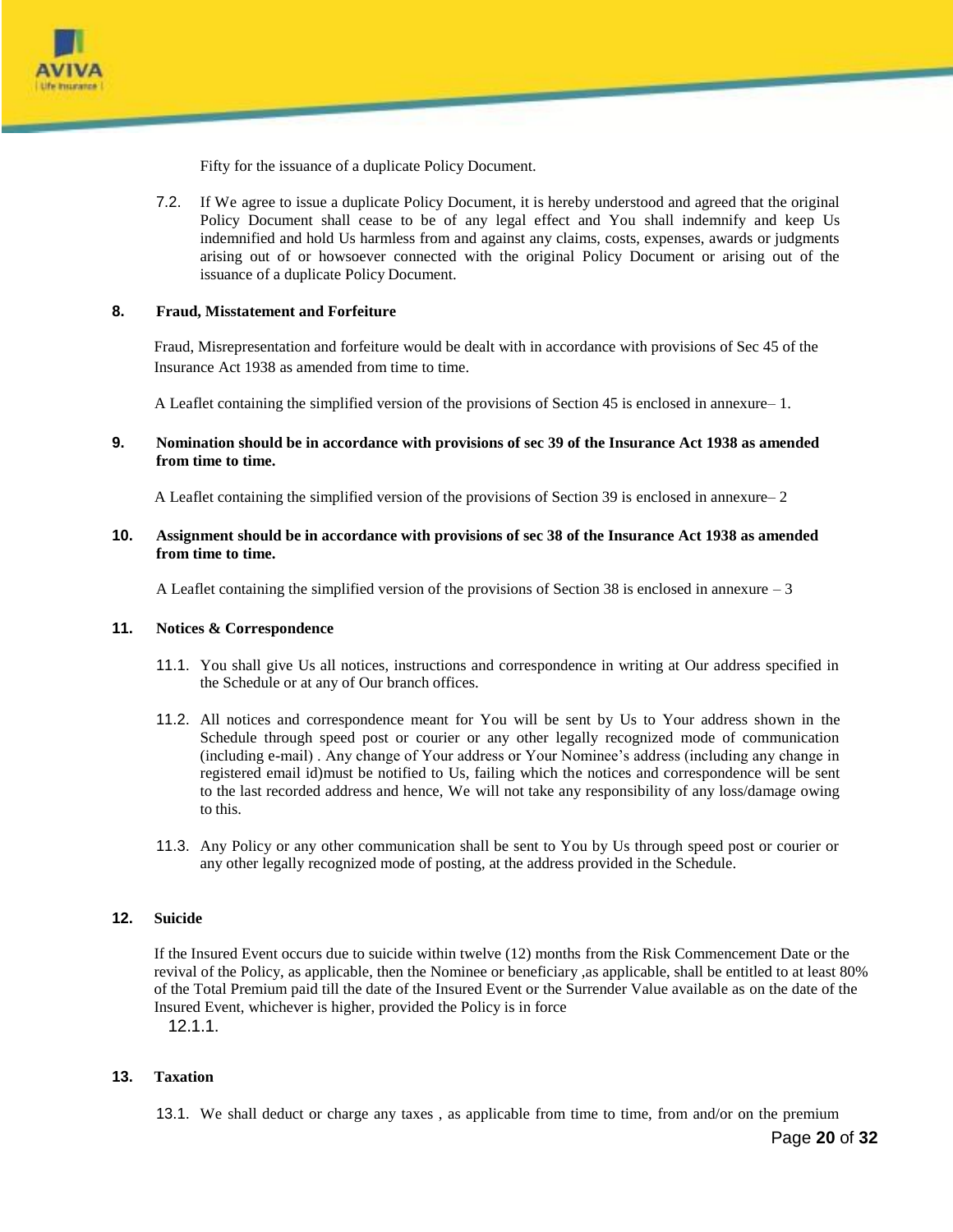

Fifty for the issuance of a duplicate Policy Document.

7.2. If We agree to issue a duplicate Policy Document, it is hereby understood and agreed that the original Policy Document shall cease to be of any legal effect and You shall indemnify and keep Us indemnified and hold Us harmless from and against any claims, costs, expenses, awards or judgments arising out of or howsoever connected with the original Policy Document or arising out of the issuance of a duplicate Policy Document.

#### **8. Fraud, Misstatement and Forfeiture**

Fraud, Misrepresentation and forfeiture would be dealt with in accordance with provisions of Sec 45 of the Insurance Act 1938 as amended from time to time.

A Leaflet containing the simplified version of the provisions of Section 45 is enclosed in annexure– 1.

#### **9. Nomination should be in accordance with provisions of sec 39 of the Insurance Act 1938 as amended from time to time.**

A Leaflet containing the simplified version of the provisions of Section 39 is enclosed in annexure– 2

**10. Assignment should be in accordance with provisions of sec 38 of the Insurance Act 1938 as amended from time to time.**

A Leaflet containing the simplified version of the provisions of Section 38 is enclosed in annexure – 3

#### **11. Notices & Correspondence**

- 11.1. You shall give Us all notices, instructions and correspondence in writing at Our address specified in the Schedule or at any of Our branch offices.
- 11.2. All notices and correspondence meant for You will be sent by Us to Your address shown in the Schedule through speed post or courier or any other legally recognized mode of communication (including e-mail) . Any change of Your address or Your Nominee's address (including any change in registered email id)must be notified to Us, failing which the notices and correspondence will be sent to the last recorded address and hence, We will not take any responsibility of any loss/damage owing to this.
- 11.3. Any Policy or any other communication shall be sent to You by Us through speed post or courier or any other legally recognized mode of posting, at the address provided in the Schedule.

#### **12. Suicide**

If the Insured Event occurs due to suicide within twelve (12) months from the Risk Commencement Date or the revival of the Policy, as applicable, then the Nominee or beneficiary ,as applicable, shall be entitled to at least 80% of the Total Premium paid till the date of the Insured Event or the Surrender Value available as on the date of the Insured Event, whichever is higher, provided the Policy is in force 12.1.1.

#### **13. Taxation**

13.1. We shall deduct or charge any taxes , as applicable from time to time, from and/or on the premium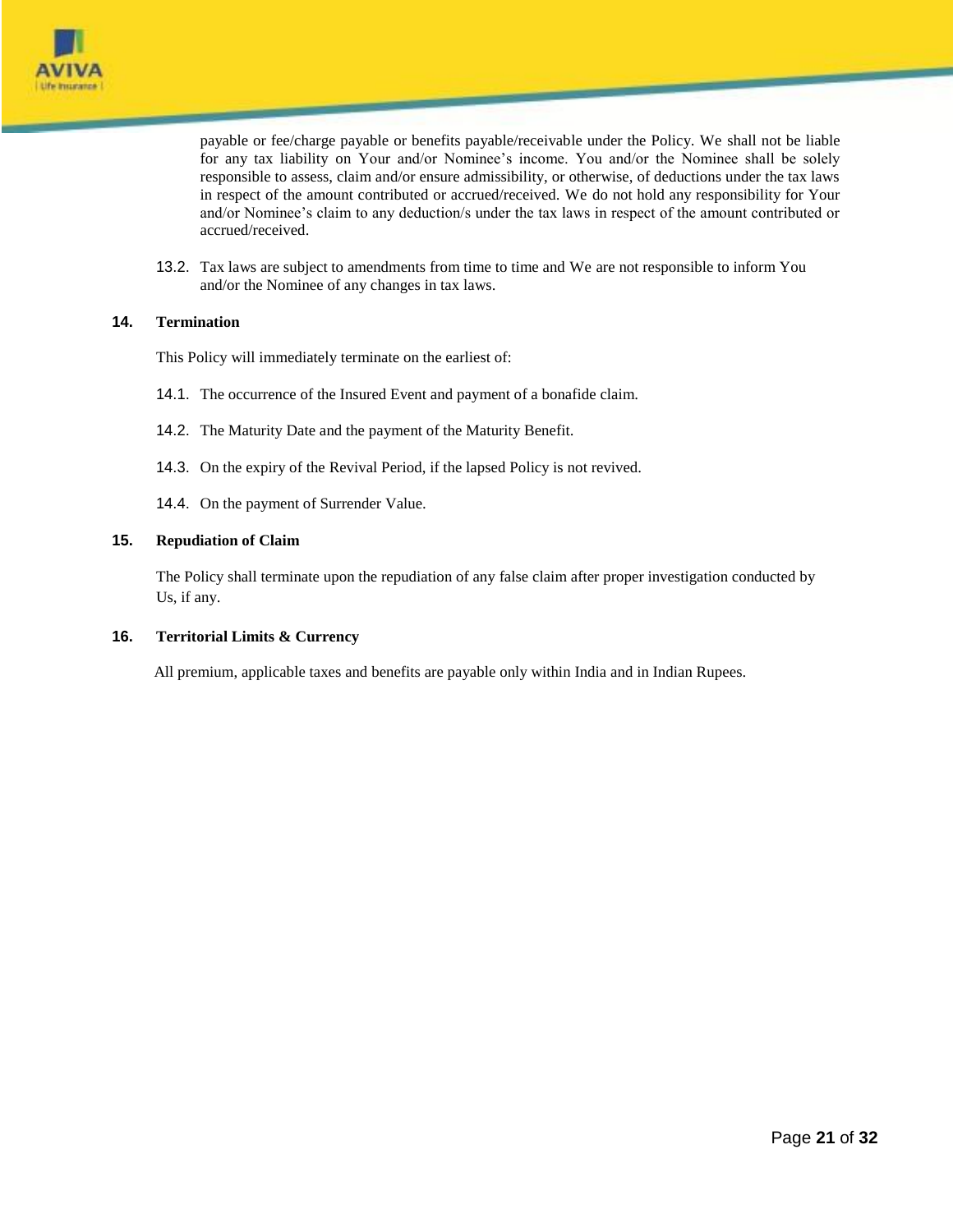

payable or fee/charge payable or benefits payable/receivable under the Policy. We shall not be liable for any tax liability on Your and/or Nominee's income. You and/or the Nominee shall be solely responsible to assess, claim and/or ensure admissibility, or otherwise, of deductions under the tax laws in respect of the amount contributed or accrued/received. We do not hold any responsibility for Your and/or Nominee's claim to any deduction/s under the tax laws in respect of the amount contributed or accrued/received.

13.2. Tax laws are subject to amendments from time to time and We are not responsible to inform You and/or the Nominee of any changes in tax laws.

# **14. Termination**

This Policy will immediately terminate on the earliest of:

- 14.1. The occurrence of the Insured Event and payment of a bonafide claim.
- 14.2. The Maturity Date and the payment of the Maturity Benefit.
- 14.3. On the expiry of the Revival Period, if the lapsed Policy is not revived.
- 14.4. On the payment of Surrender Value.

#### **15. Repudiation of Claim**

The Policy shall terminate upon the repudiation of any false claim after proper investigation conducted by Us, if any.

#### **16. Territorial Limits & Currency**

All premium, applicable taxes and benefits are payable only within India and in Indian Rupees.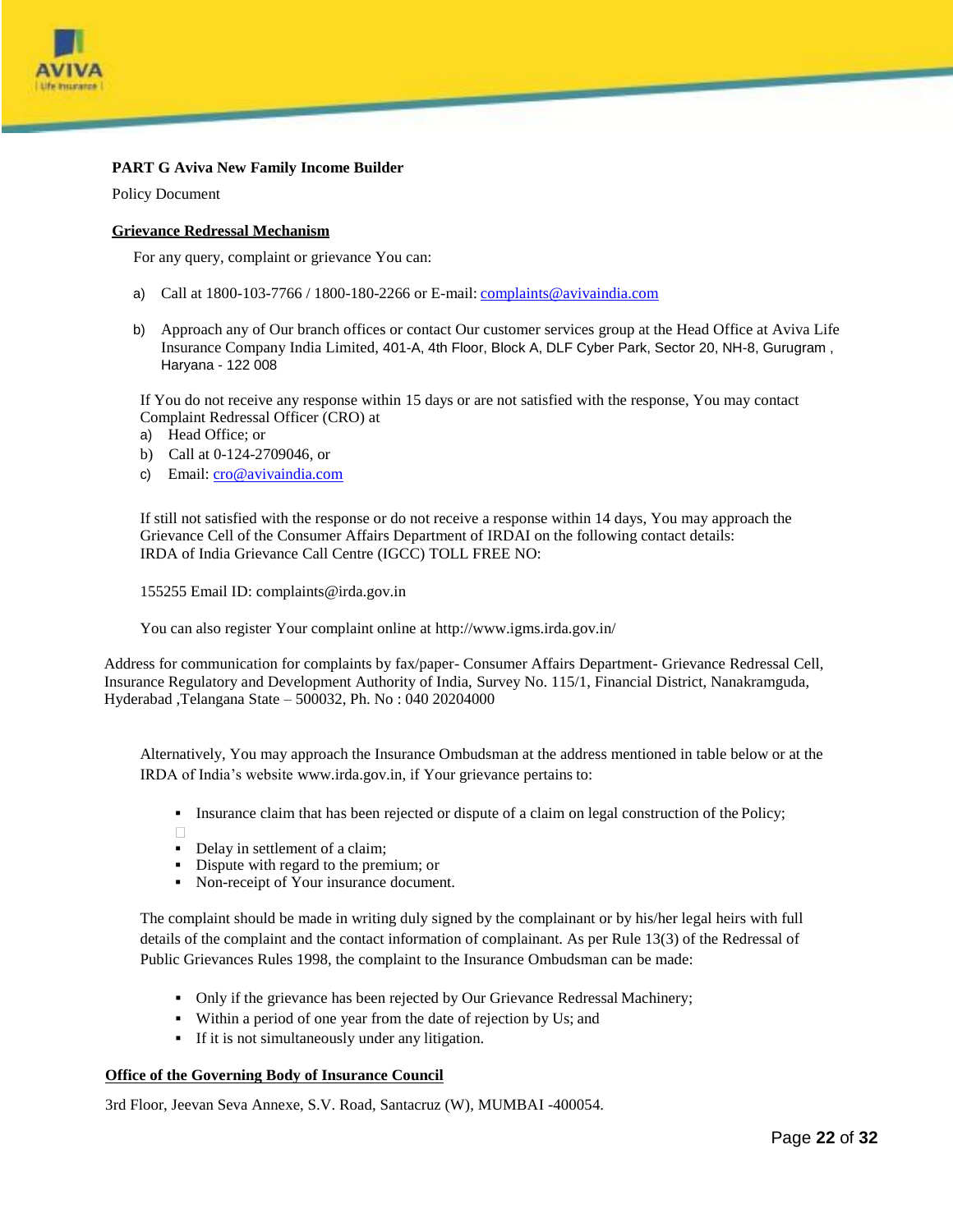

# **PART G Aviva New Family Income Builder**

Policy Document

#### **Grievance Redressal Mechanism**

For any query, complaint or grievance You can:

- a) Call at 1800-103-7766 / 1800-180-2266 or E-mail: [complaints@avivaindia.com](mailto:complaints@avivaindia.com)
- b) Approach any of Our branch offices or contact Our customer services group at the Head Office at Aviva Life Insurance Company India Limited, 401-A, 4th Floor, Block A, DLF Cyber Park, Sector 20, NH-8, Gurugram , Haryana - 122 008

If You do not receive any response within 15 days or are not satisfied with the response, You may contact Complaint Redressal Officer (CRO) at

- a) Head Office; or
- b) Call at 0-124-2709046, or
- c) Email: [cro@avivaindia.com](mailto:cro@avivaindia.com)

If still not satisfied with the response or do not receive a response within 14 days, You may approach the Grievance Cell of the Consumer Affairs Department of IRDAI on the following contact details: IRDA of India Grievance Call Centre (IGCC) TOLL FREE NO:

155255 Email [ID: complaints@irda.gov.in](mailto:complaints@irda.gov.in)

You can also register Your complaint online at<http://www.igms.irda.gov.in/>

Address for communication for complaints by fax/paper- Consumer Affairs Department- Grievance Redressal Cell, Insurance Regulatory and Development Authority of India, Survey No. 115/1, Financial District, Nanakramguda, Hyderabad ,Telangana State – 500032, Ph. No : 040 20204000

Alternatively, You may approach the Insurance Ombudsman at the address mentioned in table below or at the IRDA of India's website [www.irda.gov.in, i](http://www.irda.gov.in/)f Your grievance pertains to:

- Insurance claim that has been rejected or dispute of a claim on legal construction of the Policy;
- $\Box$
- Delay in settlement of a claim;
- Dispute with regard to the premium; or
- Non-receipt of Your insurance document.

The complaint should be made in writing duly signed by the complainant or by his/her legal heirs with full details of the complaint and the contact information of complainant. As per Rule 13(3) of the Redressal of Public Grievances Rules 1998, the complaint to the Insurance Ombudsman can be made:

- Only if the grievance has been rejected by Our Grievance Redressal Machinery;
- Within a period of one year from the date of rejection by Us; and
- If it is not simultaneously under any litigation.

#### **Office of the Governing Body of Insurance Council**

3rd Floor, Jeevan Seva Annexe, S.V. Road, Santacruz (W), MUMBAI -400054.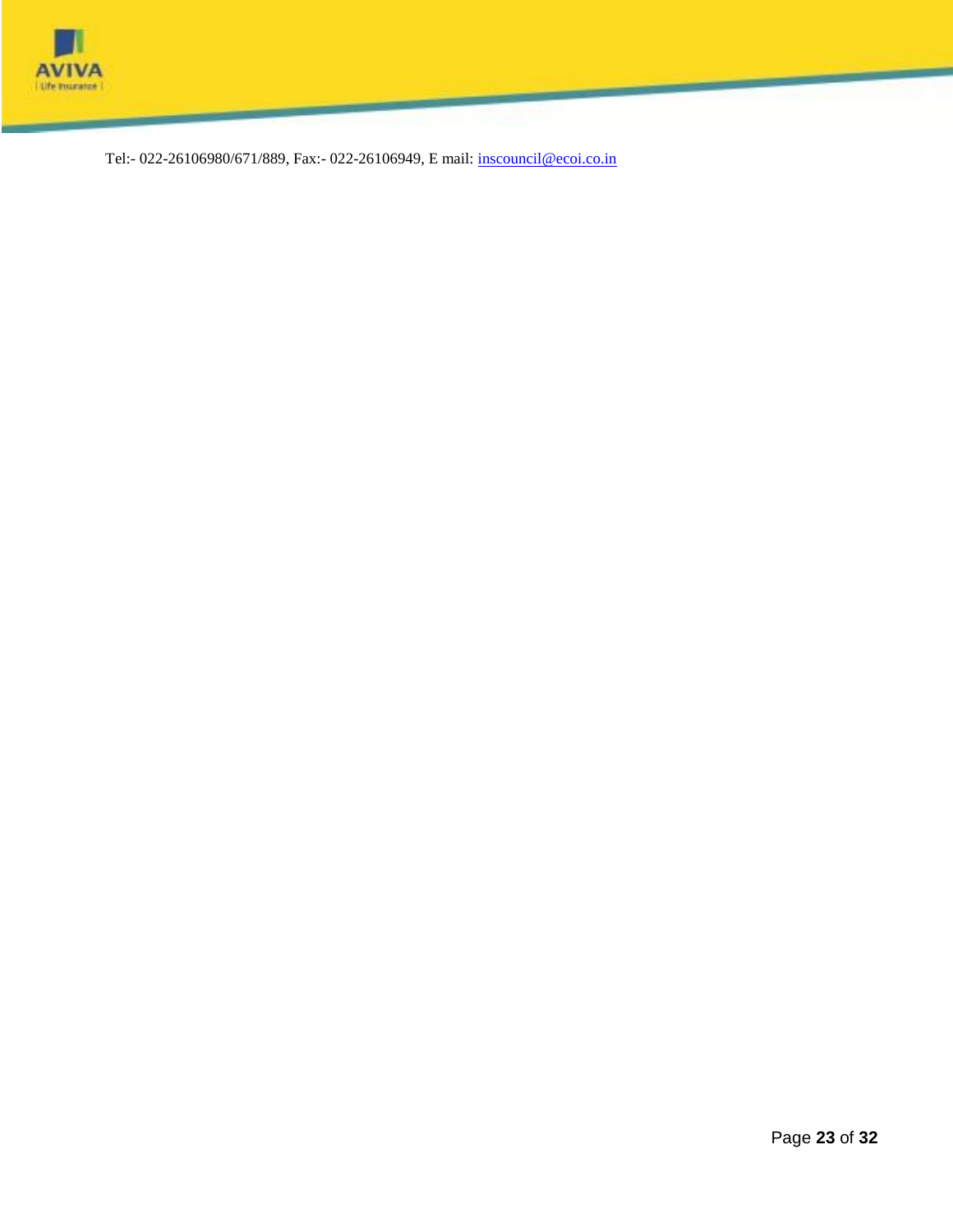

Tel:- 022-26106980/671/889, Fax:- 022-26106949, E mail: [inscouncil@ecoi.co.in](mailto:inscouncil@ecoi.co.in)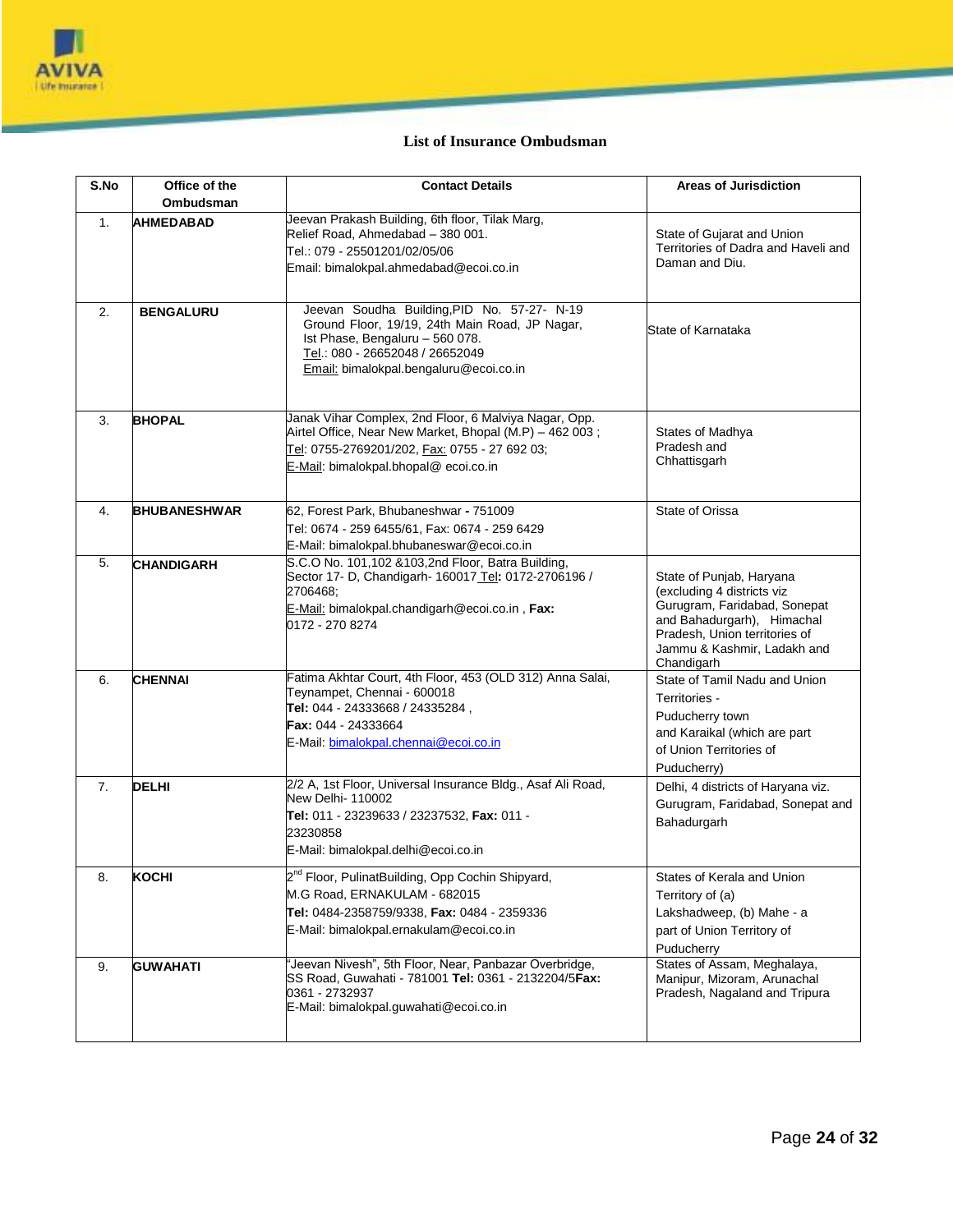

# **List of Insurance Ombudsman**

| S.No | Office of the<br>Ombudsman | <b>Contact Details</b>                                                                                                                                                                                        | <b>Areas of Jurisdiction</b>                                                                                                                                                                       |
|------|----------------------------|---------------------------------------------------------------------------------------------------------------------------------------------------------------------------------------------------------------|----------------------------------------------------------------------------------------------------------------------------------------------------------------------------------------------------|
| 1.   | <b>AHMEDABAD</b>           | Jeevan Prakash Building, 6th floor, Tilak Marg,<br>Relief Road. Ahmedabad - 380 001.<br>Tel.: 079 - 25501201/02/05/06<br>Email: bimalokpal.ahmedabad@ecoi.co.in                                               | State of Gujarat and Union<br>Territories of Dadra and Haveli and<br>Daman and Diu.                                                                                                                |
| 2.   | <b>BENGALURU</b>           | Jeevan Soudha Building, PID No. 57-27- N-19<br>Ground Floor, 19/19, 24th Main Road, JP Nagar,<br>Ist Phase, Bengaluru - 560 078.<br>Tel.: 080 - 26652048 / 26652049<br>Email: bimalokpal.bengaluru@ecoi.co.in | State of Karnataka                                                                                                                                                                                 |
| 3.   | <b>BHOPAL</b>              | Janak Vihar Complex, 2nd Floor, 6 Malviya Nagar, Opp.<br>Airtel Office, Near New Market, Bhopal (M.P) - 462 003;<br>Tel: 0755-2769201/202, Fax: 0755 - 27 692 03;<br>E-Mail: bimalokpal.bhopal@ecoi.co.in     | States of Madhya<br>Pradesh and<br>Chhattisgarh                                                                                                                                                    |
| 4.   | <b>BHUBANESHWAR</b>        | 62, Forest Park, Bhubaneshwar - 751009<br>Tel: 0674 - 259 6455/61, Fax: 0674 - 259 6429<br>E-Mail: bimalokpal.bhubaneswar@ecoi.co.in                                                                          | State of Orissa                                                                                                                                                                                    |
| 5.   | <b>CHANDIGARH</b>          | S.C.O No. 101,102 & 103, 2nd Floor, Batra Building,<br>Sector 17- D, Chandigarh- 160017 Tel: 0172-2706196 /<br>2706468:<br>E-Mail: bimalokpal.chandigarh@ecoi.co.in, Fax:<br>0172 - 270 8274                  | State of Punjab, Haryana<br>(excluding 4 districts viz<br>Gurugram, Faridabad, Sonepat<br>and Bahadurgarh), Himachal<br>Pradesh, Union territories of<br>Jammu & Kashmir, Ladakh and<br>Chandigarh |
| 6.   | <b>CHENNAI</b>             | Fatima Akhtar Court, 4th Floor, 453 (OLD 312) Anna Salai,<br>Teynampet, Chennai - 600018<br>Tel: 044 - 24333668 / 24335284,<br><b>Fax: 044 - 24333664</b><br>E-Mail: bimalokpal.chennai@ecoi.co.in            | State of Tamil Nadu and Union<br>Territories -<br>Puducherry town<br>and Karaikal (which are part<br>of Union Territories of<br>Puducherry)                                                        |
| 7.   | <b>DELHI</b>               | 2/2 A, 1st Floor, Universal Insurance Bldg., Asaf Ali Road,<br>New Delhi- 110002<br>Tel: 011 - 23239633 / 23237532, Fax: 011 -<br>23230858<br>E-Mail: bimalokpal.delhi@ecoi.co.in                             | Delhi, 4 districts of Haryana viz.<br>Gurugram, Faridabad, Sonepat and<br>Bahadurgarh                                                                                                              |
| 8.   | KOCHI                      | 2 <sup>nd</sup> Floor, PulinatBuilding, Opp Cochin Shipyard,<br>M.G Road, ERNAKULAM - 682015<br>Tel: 0484-2358759/9338, Fax: 0484 - 2359336<br>E-Mail: bimalokpal.ernakulam@ecoi.co.in                        | States of Kerala and Union<br>Territory of (a)<br>Lakshadweep, (b) Mahe - a<br>part of Union Territory of<br>Puducherry                                                                            |
| 9.   | <b>GUWAHATI</b>            | 'Jeevan Nivesh", 5th Floor, Near, Panbazar Overbridge,<br>SS Road, Guwahati - 781001 Tel: 0361 - 2132204/5Fax:<br>0361 - 2732937<br>E-Mail: bimalokpal.guwahati@ecoi.co.in                                    | States of Assam, Meghalaya,<br>Manipur, Mizoram, Arunachal<br>Pradesh, Nagaland and Tripura                                                                                                        |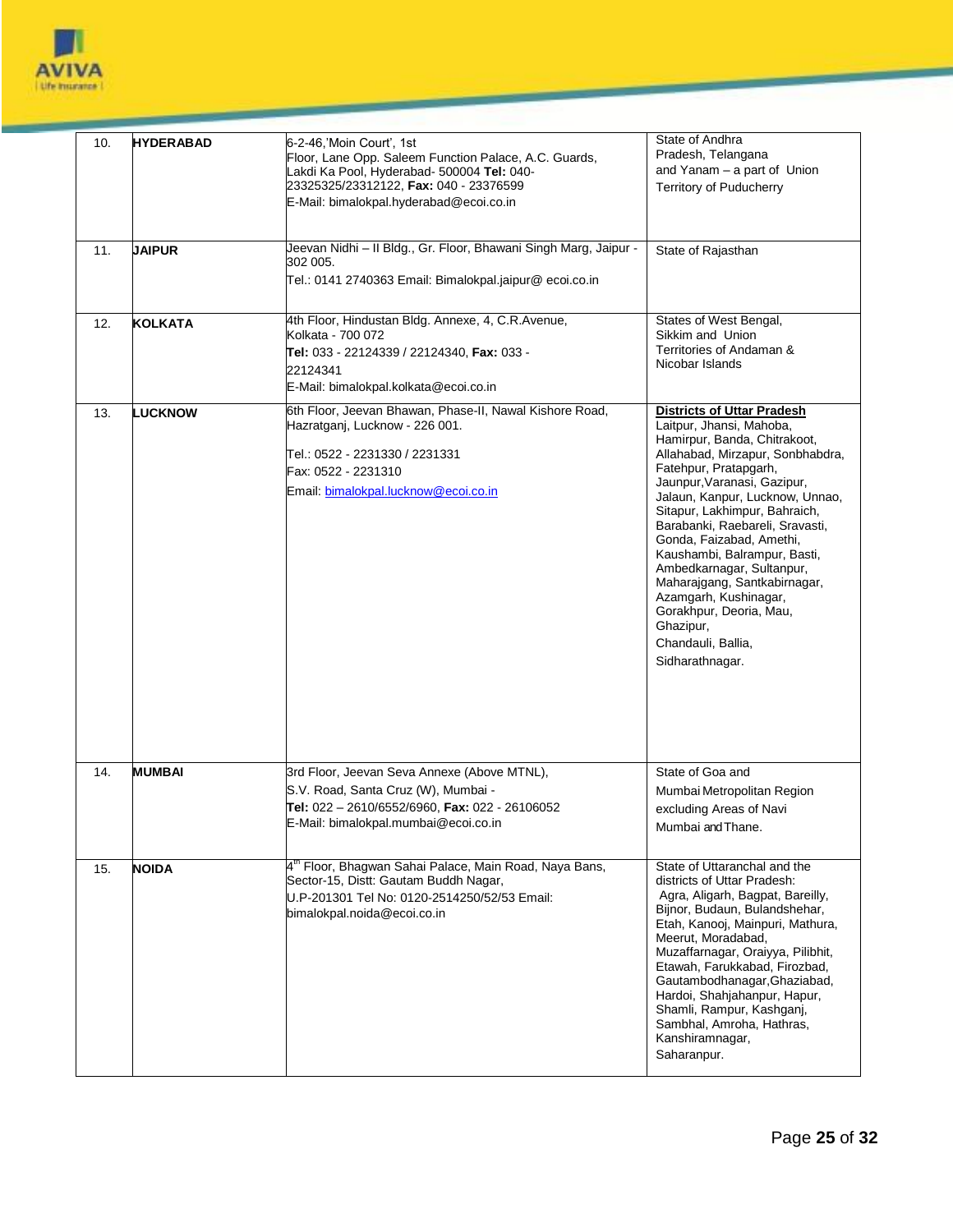

| 10. | <b>HYDERABAD</b> | 6-2-46, Moin Court', 1st<br>Floor, Lane Opp. Saleem Function Palace, A.C. Guards,<br>Lakdi Ka Pool, Hyderabad- 500004 Tel: 040-<br>23325325/23312122, Fax: 040 - 23376599<br>E-Mail: bimalokpal.hyderabad@ecoi.co.in | State of Andhra<br>Pradesh, Telangana<br>and Yanam - a part of Union<br><b>Territory of Puducherry</b>                                                                                                                                                                                                                                                                                                                                                                                                                              |
|-----|------------------|----------------------------------------------------------------------------------------------------------------------------------------------------------------------------------------------------------------------|-------------------------------------------------------------------------------------------------------------------------------------------------------------------------------------------------------------------------------------------------------------------------------------------------------------------------------------------------------------------------------------------------------------------------------------------------------------------------------------------------------------------------------------|
| 11. | <b>JAIPUR</b>    | Jeevan Nidhi – II Bldg., Gr. Floor, Bhawani Singh Marg, Jaipur -<br>302 005.<br>Tel.: 0141 2740363 Email: Bimalokpal.jaipur@ ecoi.co.in                                                                              | State of Rajasthan                                                                                                                                                                                                                                                                                                                                                                                                                                                                                                                  |
| 12. | <b>KOLKATA</b>   | 4th Floor, Hindustan Bldg. Annexe, 4, C.R.Avenue,<br>Kolkata - 700 072<br>Tel: 033 - 22124339 / 22124340, Fax: 033 -<br>22124341<br>E-Mail: bimalokpal.kolkata@ecoi.co.in                                            | States of West Bengal,<br>Sikkim and Union<br>Territories of Andaman &<br>Nicobar Islands                                                                                                                                                                                                                                                                                                                                                                                                                                           |
| 13. | <b>LUCKNOW</b>   | 6th Floor, Jeevan Bhawan, Phase-II, Nawal Kishore Road,<br>Hazratganj, Lucknow - 226 001.<br>Tel.: 0522 - 2231330 / 2231331<br>Fax: 0522 - 2231310<br>Email: bimalokpal.lucknow@ecoi.co.in                           | <b>Districts of Uttar Pradesh</b><br>Laitpur, Jhansi, Mahoba,<br>Hamirpur, Banda, Chitrakoot,<br>Allahabad, Mirzapur, Sonbhabdra,<br>Fatehpur, Pratapgarh,<br>Jaunpur, Varanasi, Gazipur,<br>Jalaun, Kanpur, Lucknow, Unnao,<br>Sitapur, Lakhimpur, Bahraich,<br>Barabanki, Raebareli, Sravasti,<br>Gonda, Faizabad, Amethi,<br>Kaushambi, Balrampur, Basti,<br>Ambedkarnagar, Sultanpur,<br>Maharajgang, Santkabirnagar,<br>Azamgarh, Kushinagar,<br>Gorakhpur, Deoria, Mau,<br>Ghazipur,<br>Chandauli, Ballia,<br>Sidharathnagar. |
| 14. | <b>MUMBAI</b>    | 3rd Floor, Jeevan Seva Annexe (Above MTNL),<br>S.V. Road, Santa Cruz (W), Mumbai -<br>Tel: 022 - 2610/6552/6960, Fax: 022 - 26106052<br>E-Mail: bimalokpal.mumbai@ecoi.co.in                                         | State of Goa and<br>Mumbai Metropolitan Region<br>excluding Areas of Navi<br>Mumbai and Thane.                                                                                                                                                                                                                                                                                                                                                                                                                                      |
| 15. | <b>NOIDA</b>     | 4 <sup>th</sup> Floor, Bhagwan Sahai Palace, Main Road, Naya Bans,<br>Sector-15, Distt: Gautam Buddh Nagar,<br>U.P-201301 Tel No: 0120-2514250/52/53 Email:<br>bimalokpal.noida@ecoi.co.in                           | State of Uttaranchal and the<br>districts of Uttar Pradesh:<br>Agra, Aligarh, Bagpat, Bareilly,<br>Bijnor, Budaun, Bulandshehar,<br>Etah, Kanooj, Mainpuri, Mathura,<br>Meerut. Moradabad.<br>Muzaffarnagar, Oraiyya, Pilibhit,<br>Etawah, Farukkabad, Firozbad,<br>Gautambodhanagar, Ghaziabad,<br>Hardoi, Shahjahanpur, Hapur,<br>Shamli, Rampur, Kashganj,<br>Sambhal, Amroha, Hathras,<br>Kanshiramnagar,<br>Saharanpur.                                                                                                        |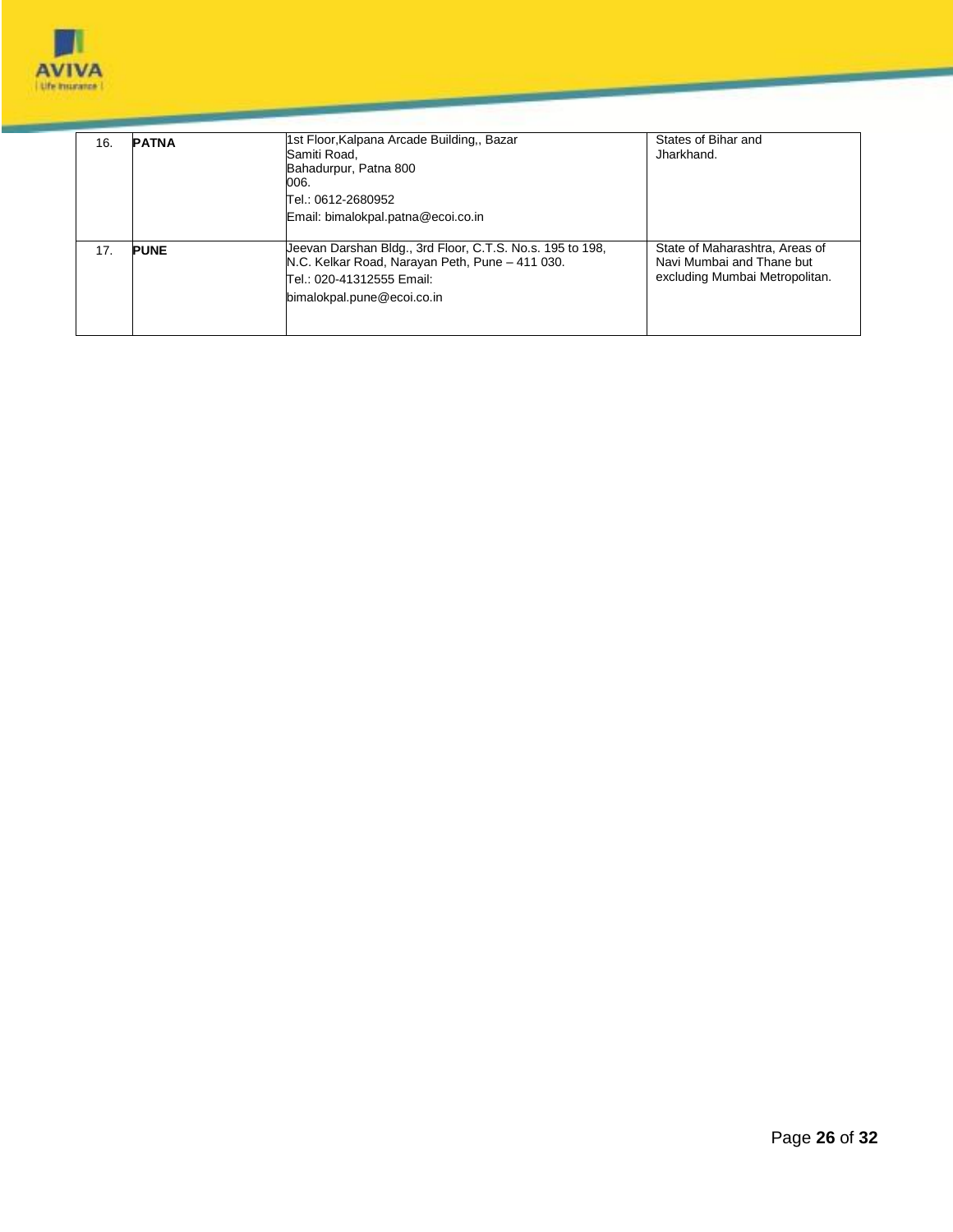

| 16. | <b>PATNA</b> | 1st Floor, Kalpana Arcade Building,, Bazar<br>Samiti Road,<br>Bahadurpur, Patna 800<br>006.<br>Tel.: 0612-2680952<br>Email: bimalokpal.patna@ecoi.co.in                 | States of Bihar and<br>Jharkhand.                                                             |
|-----|--------------|-------------------------------------------------------------------------------------------------------------------------------------------------------------------------|-----------------------------------------------------------------------------------------------|
| 17. | <b>PUNE</b>  | Ueevan Darshan Bldg., 3rd Floor, C.T.S. No.s. 195 to 198,<br>N.C. Kelkar Road, Narayan Peth, Pune - 411 030.<br>Tel.: 020-41312555 Email:<br>bimalokpal.pune@ecoi.co.in | State of Maharashtra, Areas of<br>Navi Mumbai and Thane but<br>excluding Mumbai Metropolitan. |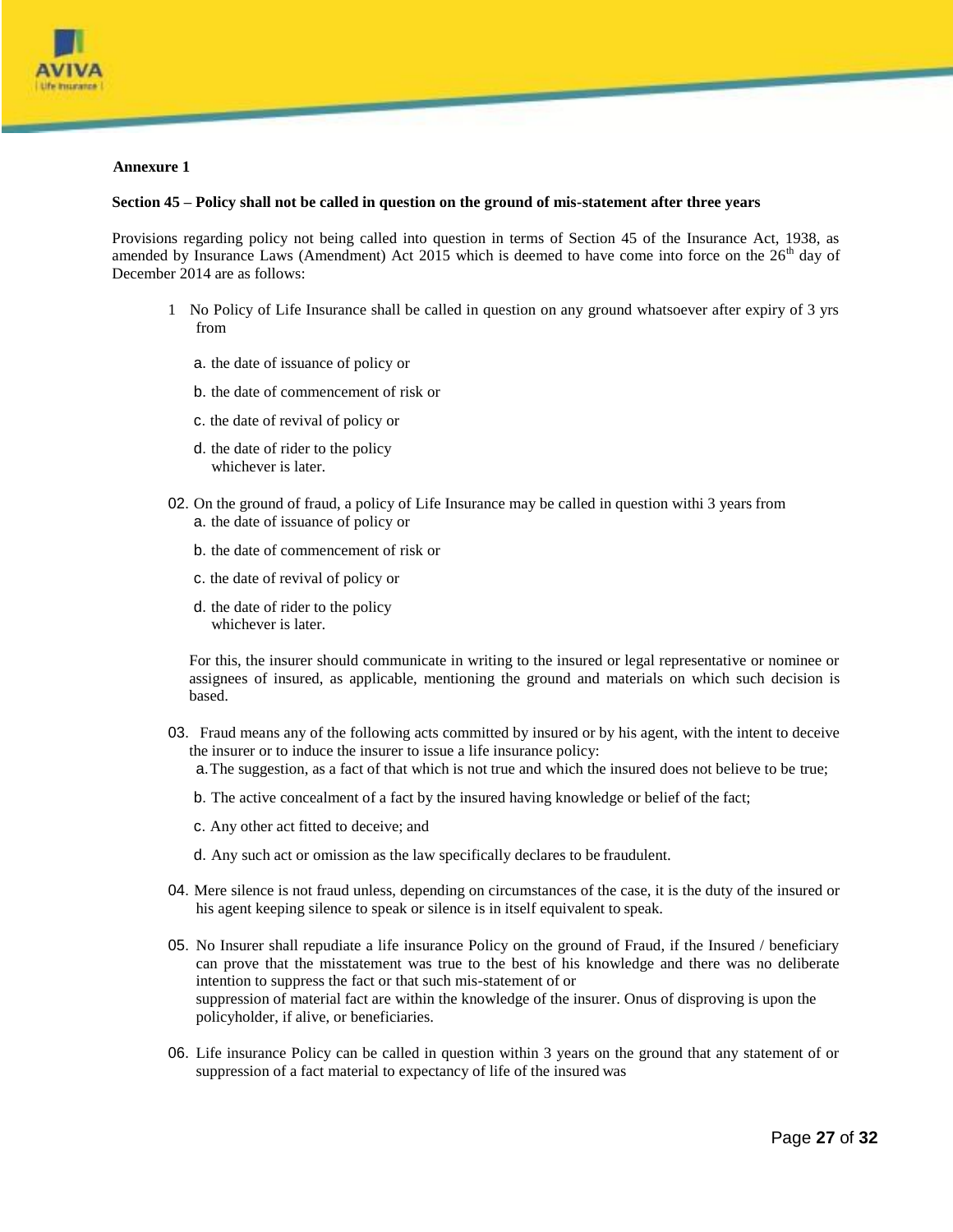

#### **Annexure 1**

#### **Section 45 – Policy shall not be called in question on the ground of mis-statement after three years**

Provisions regarding policy not being called into question in terms of Section 45 of the Insurance Act, 1938, as amended by Insurance Laws (Amendment) Act 2015 which is deemed to have come into force on the  $26<sup>th</sup>$  day of December 2014 are as follows:

- 1 No Policy of Life Insurance shall be called in question on any ground whatsoever after expiry of 3 yrs from
	- a. the date of issuance of policy or
	- b. the date of commencement of risk or
	- c. the date of revival of policy or
	- d. the date of rider to the policy whichever is later.
- 02. On the ground of fraud, a policy of Life Insurance may be called in question withi 3 years from a. the date of issuance of policy or
	- b. the date of commencement of risk or
	- c. the date of revival of policy or
	- d. the date of rider to the policy whichever is later.

For this, the insurer should communicate in writing to the insured or legal representative or nominee or assignees of insured, as applicable, mentioning the ground and materials on which such decision is based.

03. Fraud means any of the following acts committed by insured or by his agent, with the intent to deceive the insurer or to induce the insurer to issue a life insurance policy:

a.The suggestion, as a fact of that which is not true and which the insured does not believe to be true;

- b. The active concealment of a fact by the insured having knowledge or belief of the fact;
- c. Any other act fitted to deceive; and
- d. Any such act or omission as the law specifically declares to be fraudulent.
- 04. Mere silence is not fraud unless, depending on circumstances of the case, it is the duty of the insured or his agent keeping silence to speak or silence is in itself equivalent to speak.
- 05. No Insurer shall repudiate a life insurance Policy on the ground of Fraud, if the Insured / beneficiary can prove that the misstatement was true to the best of his knowledge and there was no deliberate intention to suppress the fact or that such mis-statement of or suppression of material fact are within the knowledge of the insurer. Onus of disproving is upon the policyholder, if alive, or beneficiaries.
- 06. Life insurance Policy can be called in question within 3 years on the ground that any statement of or suppression of a fact material to expectancy of life of the insured was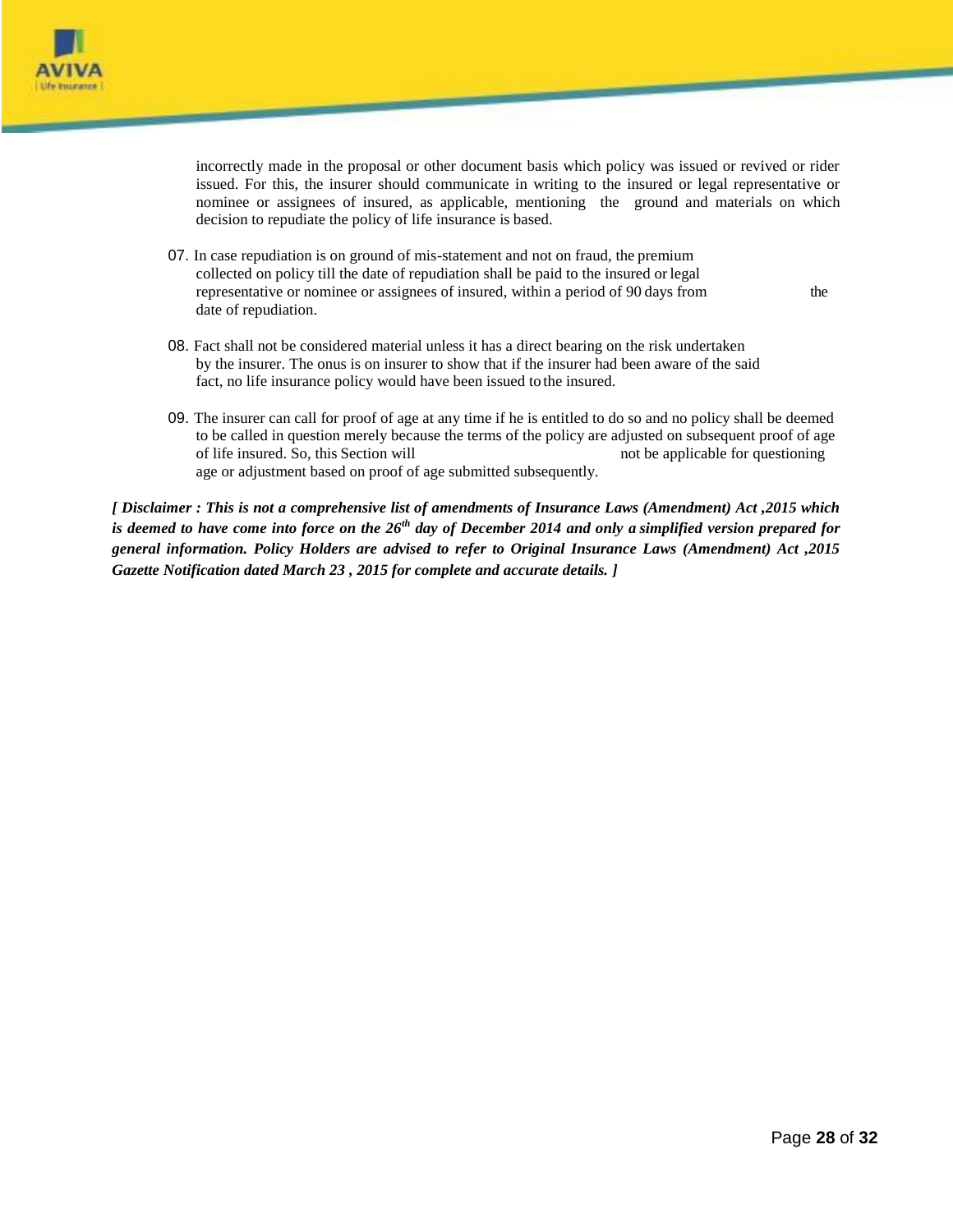

incorrectly made in the proposal or other document basis which policy was issued or revived or rider issued. For this, the insurer should communicate in writing to the insured or legal representative or nominee or assignees of insured, as applicable, mentioning the ground and materials on which decision to repudiate the policy of life insurance is based.

07. In case repudiation is on ground of mis-statement and not on fraud, the premium collected on policy till the date of repudiation shall be paid to the insured or legal representative or nominee or assignees of insured, within a period of 90 days from the date of repudiation.

- 08. Fact shall not be considered material unless it has a direct bearing on the risk undertaken by the insurer. The onus is on insurer to show that if the insurer had been aware of the said fact, no life insurance policy would have been issued to the insured.
- 09. The insurer can call for proof of age at any time if he is entitled to do so and no policy shall be deemed to be called in question merely because the terms of the policy are adjusted on subsequent proof of age of life insured. So, this Section will not be applicable for questioning age or adjustment based on proof of age submitted subsequently.

*[ Disclaimer : This is not a comprehensive list of amendments of Insurance Laws (Amendment) Act ,2015 which is deemed to have come into force on the 26th day of December 2014 and only a simplified version prepared for general information. Policy Holders are advised to refer to Original Insurance Laws (Amendment) Act ,2015 Gazette Notification dated March 23 , 2015 for complete and accurate details. ]*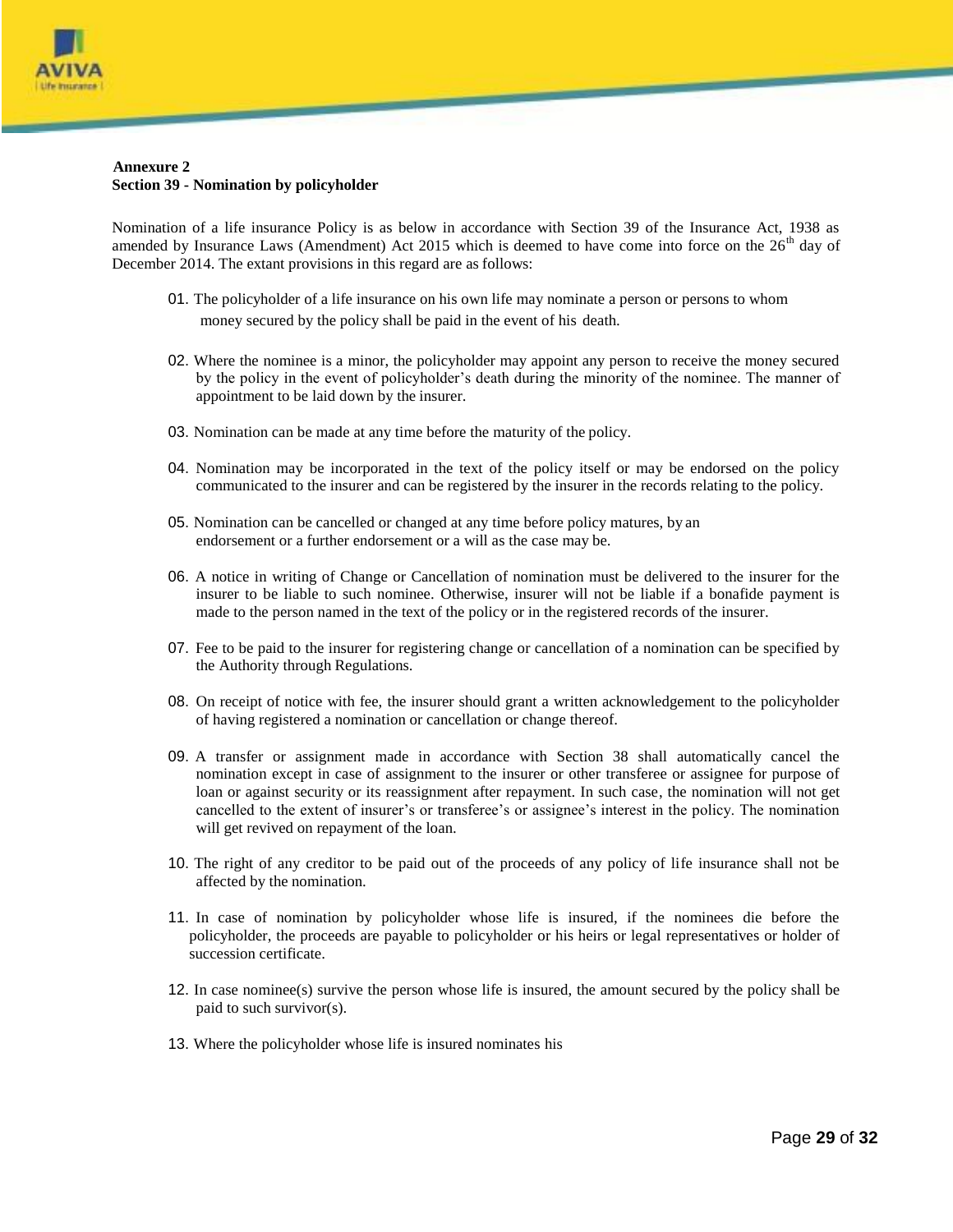

#### **Annexure 2 Section 39 - Nomination by policyholder**

Nomination of a life insurance Policy is as below in accordance with Section 39 of the Insurance Act, 1938 as amended by Insurance Laws (Amendment) Act 2015 which is deemed to have come into force on the  $26<sup>th</sup>$  day of December 2014. The extant provisions in this regard are as follows:

- 01. The policyholder of a life insurance on his own life may nominate a person or persons to whom money secured by the policy shall be paid in the event of his death.
- 02. Where the nominee is a minor, the policyholder may appoint any person to receive the money secured by the policy in the event of policyholder's death during the minority of the nominee. The manner of appointment to be laid down by the insurer.
- 03. Nomination can be made at any time before the maturity of the policy.
- 04. Nomination may be incorporated in the text of the policy itself or may be endorsed on the policy communicated to the insurer and can be registered by the insurer in the records relating to the policy.
- 05. Nomination can be cancelled or changed at any time before policy matures, by an endorsement or a further endorsement or a will as the case may be.
- 06. A notice in writing of Change or Cancellation of nomination must be delivered to the insurer for the insurer to be liable to such nominee. Otherwise, insurer will not be liable if a bonafide payment is made to the person named in the text of the policy or in the registered records of the insurer.
- 07. Fee to be paid to the insurer for registering change or cancellation of a nomination can be specified by the Authority through Regulations.
- 08. On receipt of notice with fee, the insurer should grant a written acknowledgement to the policyholder of having registered a nomination or cancellation or change thereof.
- 09. A transfer or assignment made in accordance with Section 38 shall automatically cancel the nomination except in case of assignment to the insurer or other transferee or assignee for purpose of loan or against security or its reassignment after repayment. In such case, the nomination will not get cancelled to the extent of insurer's or transferee's or assignee's interest in the policy. The nomination will get revived on repayment of the loan.
- 10. The right of any creditor to be paid out of the proceeds of any policy of life insurance shall not be affected by the nomination.
- 11. In case of nomination by policyholder whose life is insured, if the nominees die before the policyholder, the proceeds are payable to policyholder or his heirs or legal representatives or holder of succession certificate.
- 12. In case nominee(s) survive the person whose life is insured, the amount secured by the policy shall be paid to such survivor(s).
- 13. Where the policyholder whose life is insured nominates his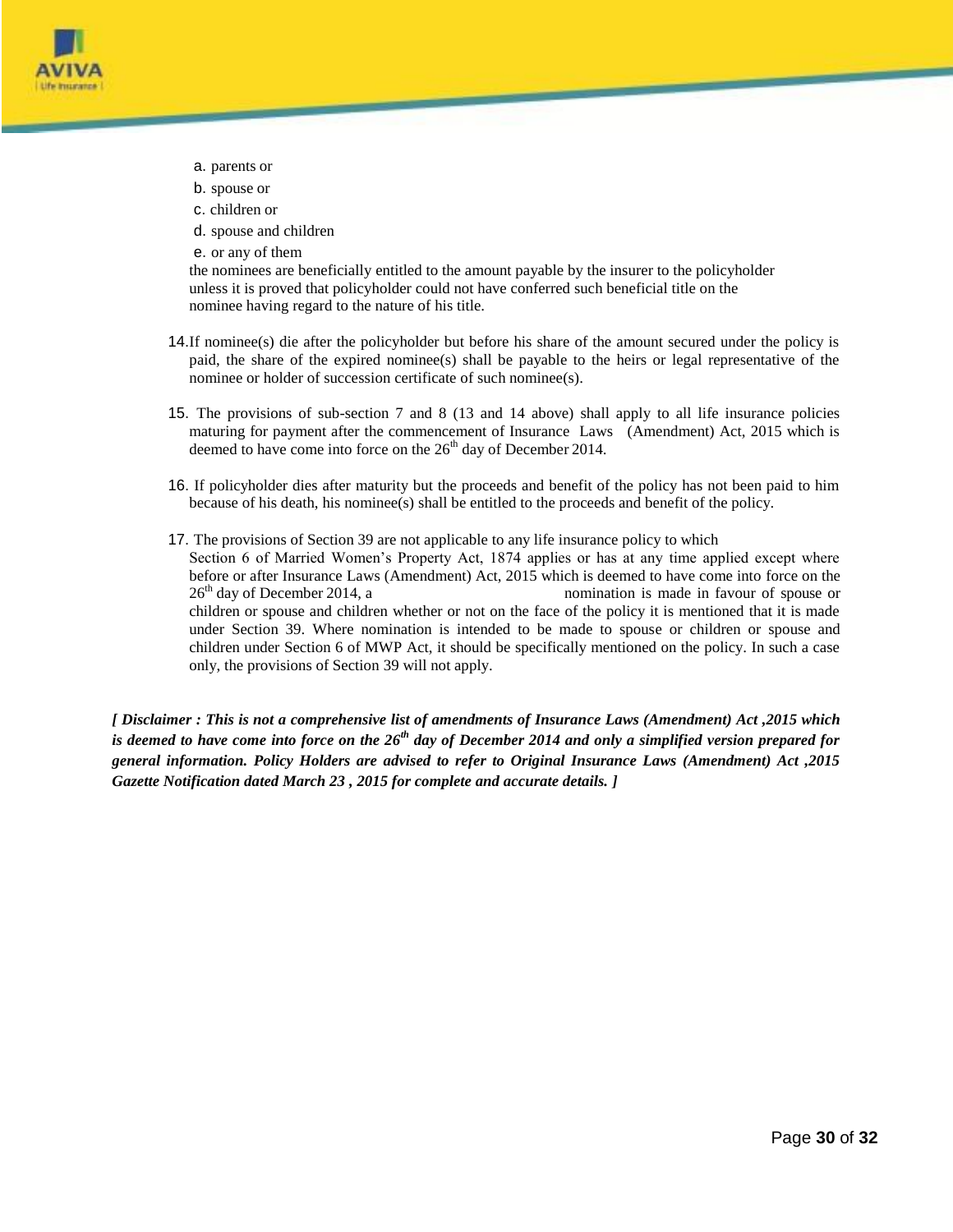

- a. parents or
- b. spouse or
- c. children or
- d. spouse and children
- e. or any of them

the nominees are beneficially entitled to the amount payable by the insurer to the policyholder unless it is proved that policyholder could not have conferred such beneficial title on the nominee having regard to the nature of his title.

- 14.If nominee(s) die after the policyholder but before his share of the amount secured under the policy is paid, the share of the expired nominee(s) shall be payable to the heirs or legal representative of the nominee or holder of succession certificate of such nominee(s).
- 15. The provisions of sub-section 7 and 8 (13 and 14 above) shall apply to all life insurance policies maturing for payment after the commencement of Insurance Laws (Amendment) Act, 2015 which is deemed to have come into force on the  $26<sup>th</sup>$  day of December 2014.
- 16. If policyholder dies after maturity but the proceeds and benefit of the policy has not been paid to him because of his death, his nominee(s) shall be entitled to the proceeds and benefit of the policy.
- 17. The provisions of Section 39 are not applicable to any life insurance policy to which Section 6 of Married Women's Property Act, 1874 applies or has at any time applied except where before or after Insurance Laws (Amendment) Act, 2015 which is deemed to have come into force on the  $26<sup>th</sup>$  day of December 2014, a nomination is made in favour of spouse or children or spouse and children whether or not on the face of the policy it is mentioned that it is made under Section 39. Where nomination is intended to be made to spouse or children or spouse and children under Section 6 of MWP Act, it should be specifically mentioned on the policy. In such a case only, the provisions of Section 39 will not apply.

*[ Disclaimer : This is not a comprehensive list of amendments of Insurance Laws (Amendment) Act ,2015 which is deemed to have come into force on the 26th day of December 2014 and only a simplified version prepared for general information. Policy Holders are advised to refer to Original Insurance Laws (Amendment) Act ,2015 Gazette Notification dated March 23 , 2015 for complete and accurate details. ]*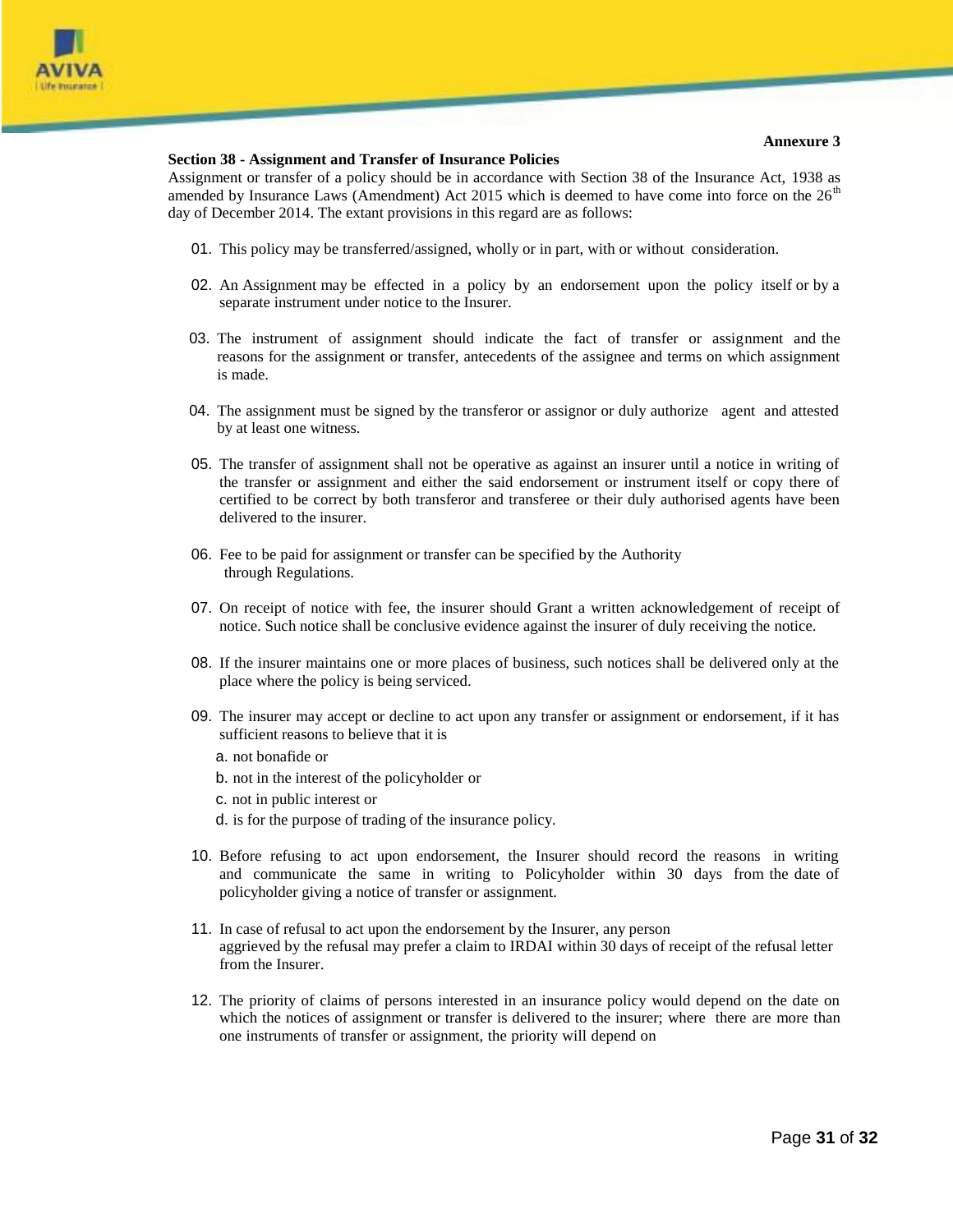

#### **Section 38 - Assignment and Transfer of Insurance Policies**

Assignment or transfer of a policy should be in accordance with Section 38 of the Insurance Act, 1938 as amended by Insurance Laws (Amendment) Act  $2015$  which is deemed to have come into force on the  $26<sup>th</sup>$ day of December 2014. The extant provisions in this regard are as follows:

- 01. This policy may be transferred/assigned, wholly or in part, with or without consideration.
- 02. An Assignment may be effected in a policy by an endorsement upon the policy itself or by a separate instrument under notice to the Insurer.
- 03. The instrument of assignment should indicate the fact of transfer or assignment and the reasons for the assignment or transfer, antecedents of the assignee and terms on which assignment is made.
- 04. The assignment must be signed by the transferor or assignor or duly authorize agent and attested by at least one witness.
- 05. The transfer of assignment shall not be operative as against an insurer until a notice in writing of the transfer or assignment and either the said endorsement or instrument itself or copy there of certified to be correct by both transferor and transferee or their duly authorised agents have been delivered to the insurer.
- 06. Fee to be paid for assignment or transfer can be specified by the Authority through Regulations.
- 07. On receipt of notice with fee, the insurer should Grant a written acknowledgement of receipt of notice. Such notice shall be conclusive evidence against the insurer of duly receiving the notice.
- 08. If the insurer maintains one or more places of business, such notices shall be delivered only at the place where the policy is being serviced.
- 09. The insurer may accept or decline to act upon any transfer or assignment or endorsement, if it has sufficient reasons to believe that it is
	- a. not bonafide or
	- b. not in the interest of the policyholder or
	- c. not in public interest or
	- d. is for the purpose of trading of the insurance policy.
- 10. Before refusing to act upon endorsement, the Insurer should record the reasons in writing and communicate the same in writing to Policyholder within 30 days from the date of policyholder giving a notice of transfer or assignment.
- 11. In case of refusal to act upon the endorsement by the Insurer, any person aggrieved by the refusal may prefer a claim to IRDAI within 30 days of receipt of the refusal letter from the Insurer.
- 12. The priority of claims of persons interested in an insurance policy would depend on the date on which the notices of assignment or transfer is delivered to the insurer; where there are more than one instruments of transfer or assignment, the priority will depend on